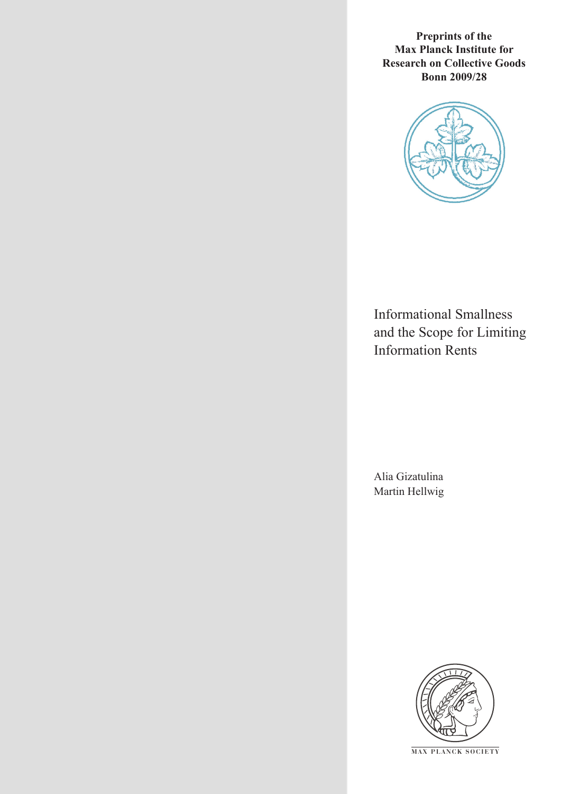**Preprints of the Max Planck Institute for Research on Collective Goods Bonn 2009/28**



Informational Smallness and the Scope for Limiting Information Rents

Alia Gizatulina Martin Hellwig



**M AX P L A N C K S O C I E T Y**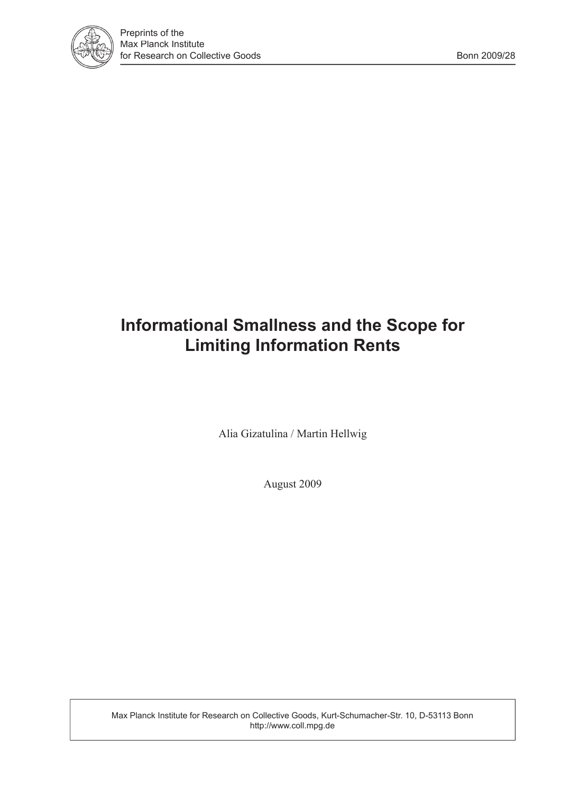

# **Informational Smallness and the Scope for Limiting Information Rents**

Alia Gizatulina / Martin Hellwig

August 2009

Max Planck Institute for Research on Collective Goods, Kurt-Schumacher-Str. 10, D-53113 Bonn http://www.coll.mpg.de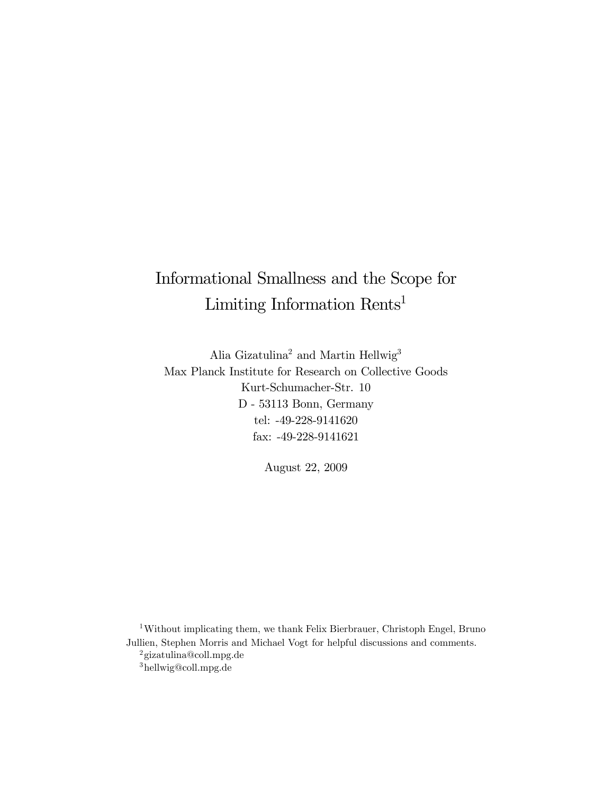# Informational Smallness and the Scope for Limiting Information Rents<sup>1</sup>

Alia Gizatulina<sup>2</sup> and Martin Hellwig<sup>3</sup> Max Planck Institute for Research on Collective Goods Kurt-Schumacher-Str. 10 D - 53113 Bonn, Germany tel: -49-228-9141620 fax: -49-228-9141621

August 22, 2009

<sup>1</sup>Without implicating them, we thank Felix Bierbrauer, Christoph Engel, Bruno Jullien, Stephen Morris and Michael Vogt for helpful discussions and comments. <sup>2</sup> gizatulina@coll.mpg.de <sup>3</sup>hellwig@coll.mpg.de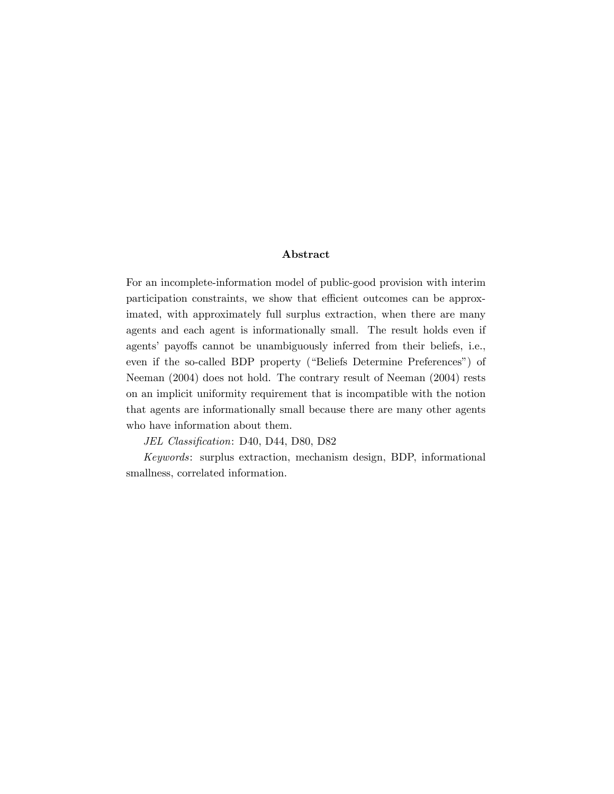#### Abstract

For an incomplete-information model of public-good provision with interim participation constraints, we show that efficient outcomes can be approximated, with approximately full surplus extraction, when there are many agents and each agent is informationally small. The result holds even if agents' payoffs cannot be unambiguously inferred from their beliefs, i.e., even if the so-called BDP property ("Beliefs Determine Preferences") of Neeman (2004) does not hold. The contrary result of Neeman (2004) rests on an implicit uniformity requirement that is incompatible with the notion that agents are informationally small because there are many other agents who have information about them.

JEL Classification: D40, D44, D80, D82

Keywords: surplus extraction, mechanism design, BDP, informational smallness, correlated information.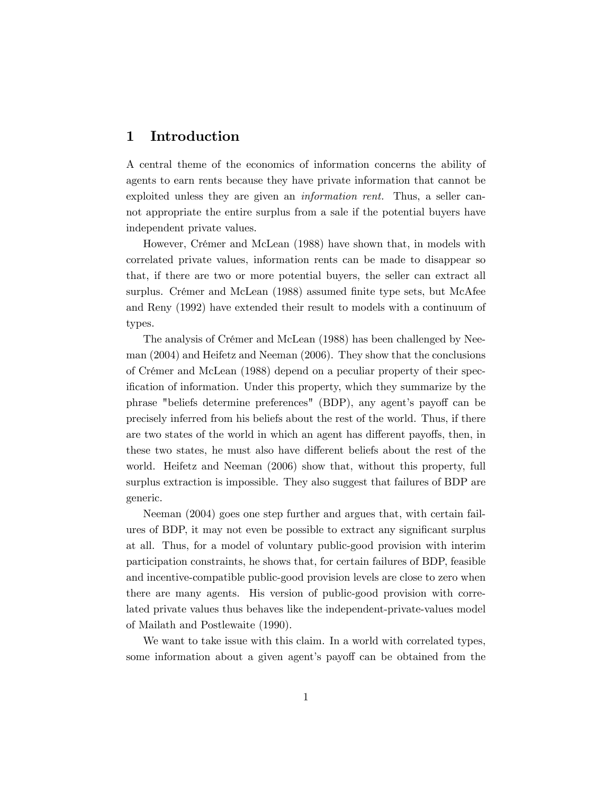## 1 Introduction

A central theme of the economics of information concerns the ability of agents to earn rents because they have private information that cannot be exploited unless they are given an information rent. Thus, a seller cannot appropriate the entire surplus from a sale if the potential buyers have independent private values.

However, Crémer and McLean (1988) have shown that, in models with correlated private values, information rents can be made to disappear so that, if there are two or more potential buyers, the seller can extract all surplus. Crémer and McLean (1988) assumed finite type sets, but McAfee and Reny (1992) have extended their result to models with a continuum of types.

The analysis of Crémer and McLean (1988) has been challenged by Neeman (2004) and Heifetz and Neeman (2006). They show that the conclusions of CrÈmer and McLean (1988) depend on a peculiar property of their specification of information. Under this property, which they summarize by the phrase "beliefs determine preferences" (BDP), any agent's payoff can be precisely inferred from his beliefs about the rest of the world. Thus, if there are two states of the world in which an agent has different payoffs, then, in these two states, he must also have different beliefs about the rest of the world. Heifetz and Neeman (2006) show that, without this property, full surplus extraction is impossible. They also suggest that failures of BDP are generic.

Neeman (2004) goes one step further and argues that, with certain failures of BDP, it may not even be possible to extract any significant surplus at all. Thus, for a model of voluntary public-good provision with interim participation constraints, he shows that, for certain failures of BDP, feasible and incentive-compatible public-good provision levels are close to zero when there are many agents. His version of public-good provision with correlated private values thus behaves like the independent-private-values model of Mailath and Postlewaite (1990).

We want to take issue with this claim. In a world with correlated types, some information about a given agent's payoff can be obtained from the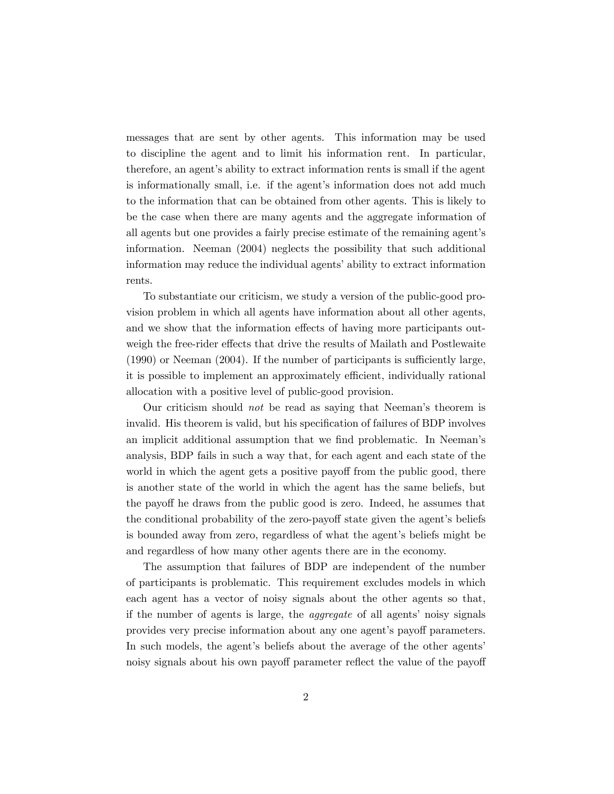messages that are sent by other agents. This information may be used to discipline the agent and to limit his information rent. In particular, therefore, an agent's ability to extract information rents is small if the agent is informationally small, i.e. if the agent's information does not add much to the information that can be obtained from other agents. This is likely to be the case when there are many agents and the aggregate information of all agents but one provides a fairly precise estimate of the remaining agentís information. Neeman (2004) neglects the possibility that such additional information may reduce the individual agents' ability to extract information rents.

To substantiate our criticism, we study a version of the public-good provision problem in which all agents have information about all other agents, and we show that the information effects of having more participants outweigh the free-rider effects that drive the results of Mailath and Postlewaite  $(1990)$  or Neeman  $(2004)$ . If the number of participants is sufficiently large, it is possible to implement an approximately efficient, individually rational allocation with a positive level of public-good provision.

Our criticism should *not* be read as saying that Neeman's theorem is invalid. His theorem is valid, but his specification of failures of BDP involves an implicit additional assumption that we find problematic. In Neeman's analysis, BDP fails in such a way that, for each agent and each state of the world in which the agent gets a positive payoff from the public good, there is another state of the world in which the agent has the same beliefs, but the payoff he draws from the public good is zero. Indeed, he assumes that the conditional probability of the zero-payoff state given the agent's beliefs is bounded away from zero, regardless of what the agent's beliefs might be and regardless of how many other agents there are in the economy.

The assumption that failures of BDP are independent of the number of participants is problematic. This requirement excludes models in which each agent has a vector of noisy signals about the other agents so that, if the number of agents is large, the *aggregate* of all agents' noisy signals provides very precise information about any one agent's payoff parameters. In such models, the agent's beliefs about the average of the other agents' noisy signals about his own payoff parameter reflect the value of the payoff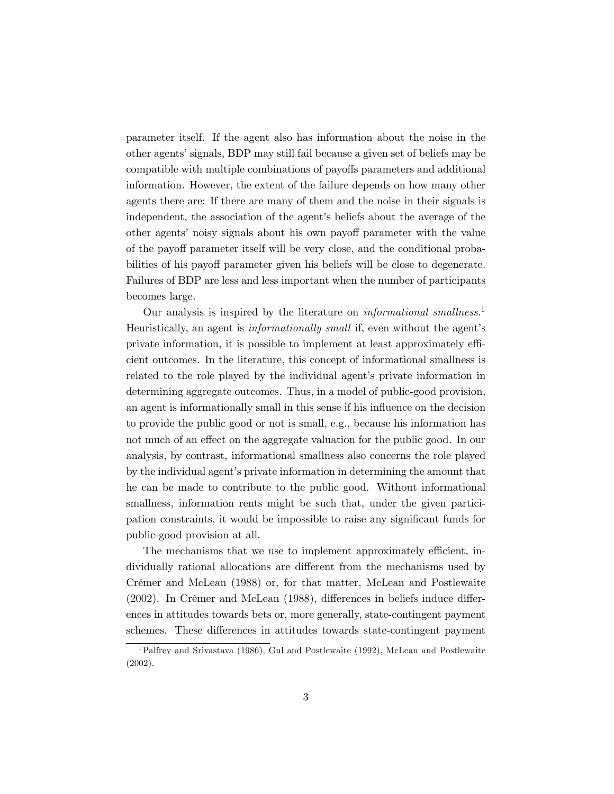parameter itself. If the agent also has information about the noise in the other agents' signals, BDP may still fail because a given set of beliefs may be compatible with multiple combinations of payoffs parameters and additional information. However, the extent of the failure depends on how many other agents there are: If there are many of them and the noise in their signals is independent, the association of the agent's beliefs about the average of the other agents' noisy signals about his own payoff parameter with the value of the payoff parameter itself will be very close, and the conditional probabilities of his payoff parameter given his beliefs will be close to degenerate. Failures of BDP are less and less important when the number of participants becomes large.

Our analysis is inspired by the literature on *informational smallness*.<sup>1</sup> Heuristically, an agent is *informationally small* if, even without the agent's private information, it is possible to implement at least approximately efficient outcomes. In the literature, this concept of informational smallness is related to the role played by the individual agent's private information in determining aggregate outcomes. Thus, in a model of public-good provision, an agent is informationally small in this sense if his influence on the decision to provide the public good or not is small, e.g., because his information has not much of an effect on the aggregate valuation for the public good. In our analysis, by contrast, informational smallness also concerns the role played by the individual agent's private information in determining the amount that he can be made to contribute to the public good. Without informational smallness, information rents might be such that, under the given participation constraints, it would be impossible to raise any significant funds for public-good provision at all.

The mechanisms that we use to implement approximately efficient, individually rational allocations are different from the mechanisms used by Crémer and McLean (1988) or, for that matter, McLean and Postlewaite  $(2002)$ . In Crémer and McLean  $(1988)$ , differences in beliefs induce differences in attitudes towards bets or, more generally, state-contingent payment schemes. These differences in attitudes towards state-contingent payment

<sup>1</sup>Palfrey and Srivastava (1986), Gul and Postlewaite (1992), McLean and Postlewaite (2002).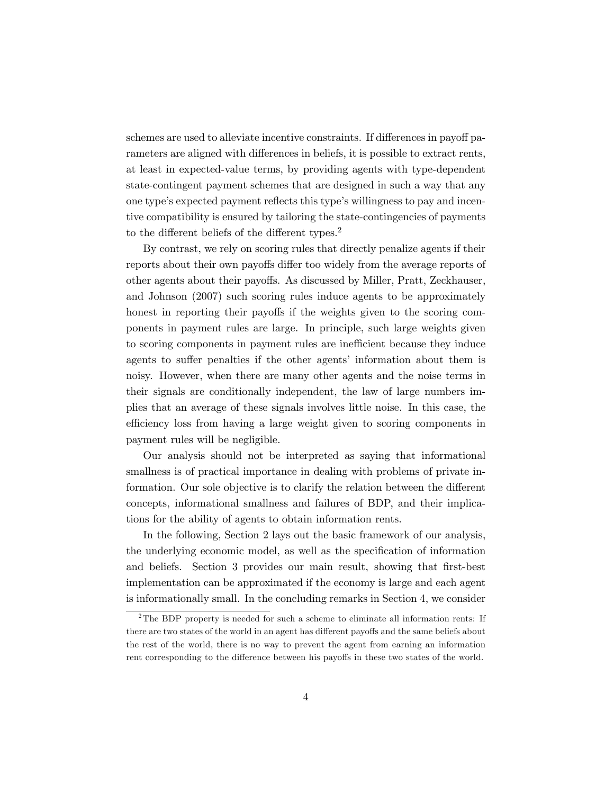schemes are used to alleviate incentive constraints. If differences in payoff parameters are aligned with differences in beliefs, it is possible to extract rents, at least in expected-value terms, by providing agents with type-dependent state-contingent payment schemes that are designed in such a way that any one type's expected payment reflects this type's willingness to pay and incentive compatibility is ensured by tailoring the state-contingencies of payments to the different beliefs of the different types.<sup>2</sup>

By contrast, we rely on scoring rules that directly penalize agents if their reports about their own payoffs differ too widely from the average reports of other agents about their payoffs. As discussed by Miller, Pratt, Zeckhauser, and Johnson (2007) such scoring rules induce agents to be approximately honest in reporting their payoffs if the weights given to the scoring components in payment rules are large. In principle, such large weights given to scoring components in payment rules are inefficient because they induce agents to suffer penalties if the other agents' information about them is noisy. However, when there are many other agents and the noise terms in their signals are conditionally independent, the law of large numbers implies that an average of these signals involves little noise. In this case, the efficiency loss from having a large weight given to scoring components in payment rules will be negligible.

Our analysis should not be interpreted as saying that informational smallness is of practical importance in dealing with problems of private information. Our sole objective is to clarify the relation between the different concepts, informational smallness and failures of BDP, and their implications for the ability of agents to obtain information rents.

In the following, Section 2 lays out the basic framework of our analysis, the underlying economic model, as well as the specification of information and beliefs. Section 3 provides our main result, showing that first-best implementation can be approximated if the economy is large and each agent is informationally small. In the concluding remarks in Section 4, we consider

<sup>&</sup>lt;sup>2</sup>The BDP property is needed for such a scheme to eliminate all information rents: If there are two states of the world in an agent has different payoffs and the same beliefs about the rest of the world, there is no way to prevent the agent from earning an information rent corresponding to the difference between his payoffs in these two states of the world.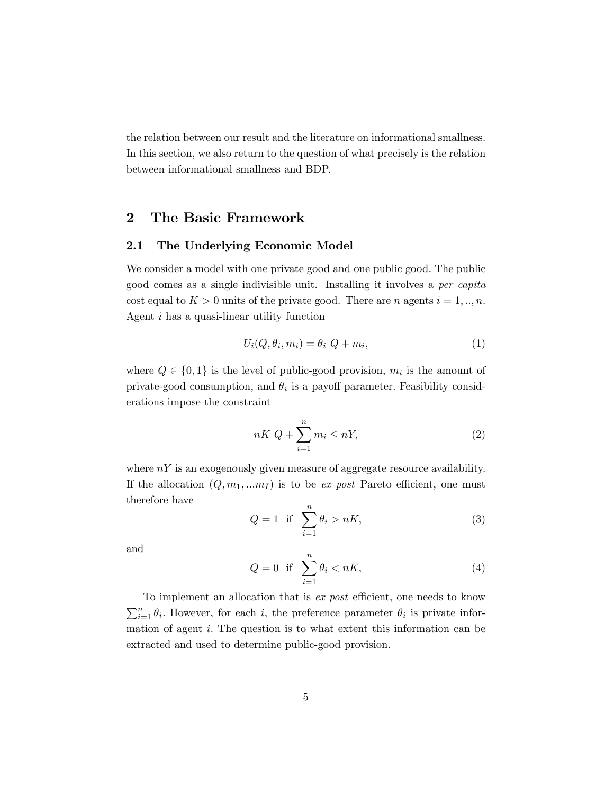the relation between our result and the literature on informational smallness. In this section, we also return to the question of what precisely is the relation between informational smallness and BDP.

### 2 The Basic Framework

#### 2.1 The Underlying Economic Model

We consider a model with one private good and one public good. The public good comes as a single indivisible unit. Installing it involves a per capita cost equal to  $K > 0$  units of the private good. There are n agents  $i = 1, ..., n$ . Agent i has a quasi-linear utility function

$$
U_i(Q, \theta_i, m_i) = \theta_i \ Q + m_i,\tag{1}
$$

where  $Q \in \{0, 1\}$  is the level of public-good provision,  $m_i$  is the amount of private-good consumption, and  $\theta_i$  is a payoff parameter. Feasibility considerations impose the constraint

$$
nK Q + \sum_{i=1}^{n} m_i \le nY,\tag{2}
$$

where  $nY$  is an exogenously given measure of aggregate resource availability. If the allocation  $(Q, m_1, ... m_I)$  is to be ex post Pareto efficient, one must therefore have

$$
Q = 1 \quad \text{if} \quad \sum_{i=1}^{n} \theta_i > nK,\tag{3}
$$

and

$$
Q = 0 \quad \text{if} \quad \sum_{i=1}^{n} \theta_i < nK,\tag{4}
$$

To implement an allocation that is  $ex$  post efficient, one needs to know  $\sum_{i=1}^{n} \theta_i$ . However, for each i, the preference parameter  $\theta_i$  is private information of agent i: The question is to what extent this information can be extracted and used to determine public-good provision.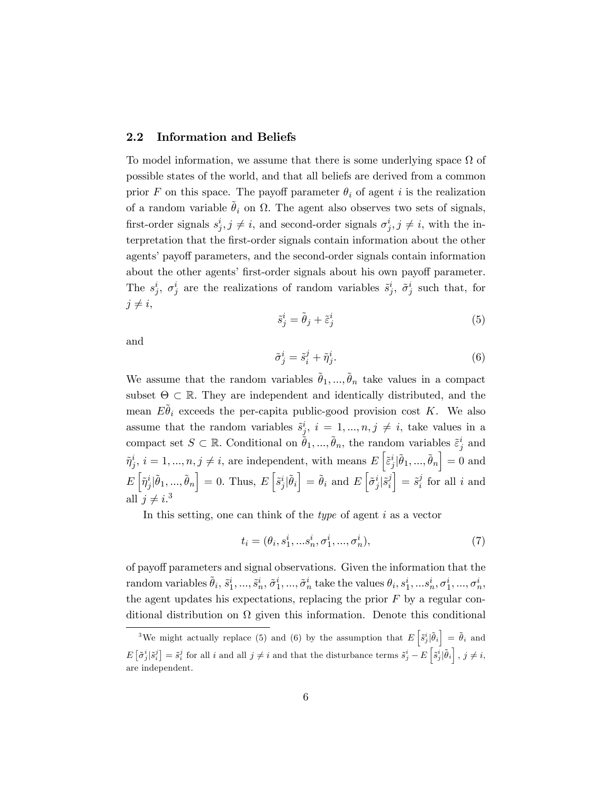#### 2.2 Information and Beliefs

To model information, we assume that there is some underlying space  $\Omega$  of possible states of the world, and that all beliefs are derived from a common prior F on this space. The payoff parameter  $\theta_i$  of agent i is the realization of a random variable  $\tilde{\theta}_i$  on  $\Omega$ . The agent also observes two sets of signals, first-order signals  $s_j^i, j \neq i$ , and second-order signals  $\sigma_j^i, j \neq i$ , with the interpretation that the first-order signals contain information about the other agents' payoff parameters, and the second-order signals contain information about the other agents' first-order signals about his own payoff parameter. The  $s_j^i$ ,  $\sigma_j^i$  are the realizations of random variables  $\tilde{s}_j^i$ ,  $\tilde{\sigma}_j^i$  such that, for  $j \neq i$ 

$$
\tilde{s}_j^i = \tilde{\theta}_j + \tilde{\varepsilon}_j^i \tag{5}
$$

and

$$
\tilde{\sigma}_j^i = \tilde{s}_i^j + \tilde{\eta}_j^i. \tag{6}
$$

We assume that the random variables  $\tilde{\theta}_1, ..., \tilde{\theta}_n$  take values in a compact subset  $\Theta \subset \mathbb{R}$ . They are independent and identically distributed, and the mean  $E\theta_i$  exceeds the per-capita public-good provision cost K. We also assume that the random variables  $\tilde{s}_j^i$ ,  $i = 1, ..., n, j \neq i$ , take values in a compact set  $S \subset \mathbb{R}$ . Conditional on  $\tilde{\theta}_1, ..., \tilde{\theta}_n$ , the random variables  $\tilde{\varepsilon}_j^i$  and  $\tilde{\eta}_j^i, i = 1, ..., n, j \neq i$ , are independent, with means  $E\left[\tilde{\varepsilon}_j^i | \tilde{\theta}_1, ..., \tilde{\theta}_n\right] = 0$  and  $E\left[\tilde{\eta}^i_j|\tilde{\theta}_1,...,\tilde{\theta}_n\right]=0. \text{ Thus, } E\left[\tilde{s}^i_j|\tilde{\theta}_i\right]=\tilde{\theta}_i \text{ and } E\left[\tilde{\sigma}^i_j|\tilde{s}^j_i\right]$ i  $\Big] = \tilde{s}_i^j$  $\frac{j}{i}$  for all i and all  $i \neq i$ <sup>3</sup>

In this setting, one can think of the type of agent  $i$  as a vector

$$
t_i = (\theta_i, s_1^i, \dots s_n^i, \sigma_1^i, \dots, \sigma_n^i), \tag{7}
$$

of payoff parameters and signal observations. Given the information that the  $\text{random variables } \tilde{\theta}_i, \tilde{s}_1^i,..., \tilde{s}_n^i, \tilde{\sigma}_1^i,..., \tilde{\sigma}_n^i \text{ take the values } \theta_i, s_1^i,...s_n^i, \sigma_1^i,..., \sigma_n^i,$ the agent updates his expectations, replacing the prior  $F$  by a regular conditional distribution on  $\Omega$  given this information. Denote this conditional

<sup>&</sup>lt;sup>3</sup>We might actually replace (5) and (6) by the assumption that  $E\left[\tilde{s}_j^i|\tilde{\theta}_i\right] = \tilde{\theta}_i$  and  $E\left[\tilde{\sigma}_j^i|\tilde{s}_i^j\right] = \tilde{s}_i^j$  for all i and all  $j \neq i$  and that the disturbance terms  $\tilde{s}_j^i - E\left[\tilde{s}_j^i|\tilde{\theta}_i\right], j \neq i$ , are independent.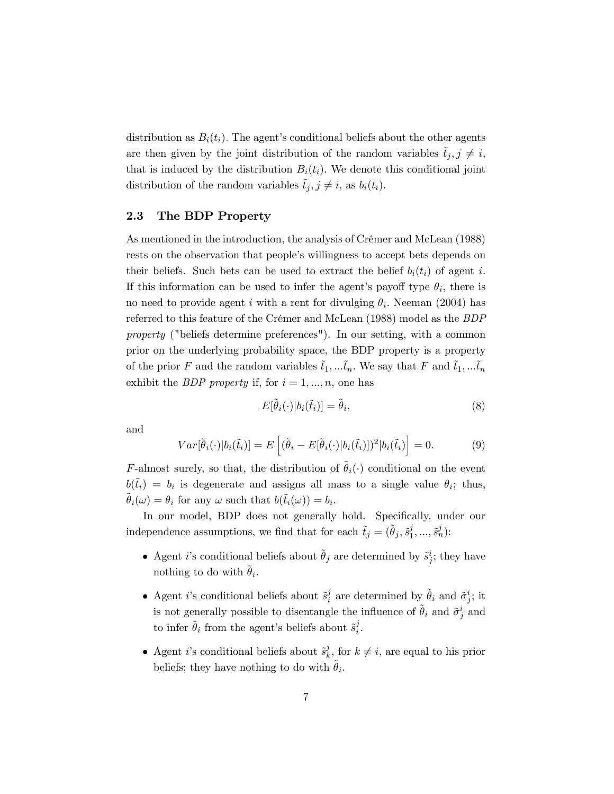distribution as  $B_i(t_i)$ . The agent's conditional beliefs about the other agents are then given by the joint distribution of the random variables  $t_j, j \neq i$ , that is induced by the distribution  $B_i(t_i)$ . We denote this conditional joint distribution of the random variables  $t_j, j \neq i$ , as  $b_i(t_i)$ .

#### 2.3 The BDP Property

As mentioned in the introduction, the analysis of Crémer and McLean (1988) rests on the observation that people's willingness to accept bets depends on their beliefs. Such bets can be used to extract the belief  $b_i(t_i)$  of agent i. If this information can be used to infer the agent's payoff type  $\theta_i$ , there is no need to provide agent *i* with a rent for divulging  $\theta_i$ . Neeman (2004) has referred to this feature of the Crémer and McLean (1988) model as the *BDP* property ("beliefs determine preferences"). In our setting, with a common prior on the underlying probability space, the BDP property is a property of the prior F and the random variables  $\tilde{t}_1, \dots, \tilde{t}_n$ . We say that F and  $\tilde{t}_1, \dots, \tilde{t}_n$ exhibit the *BDP property* if, for  $i = 1, ..., n$ , one has

$$
E[\tilde{\theta}_i(\cdot)|b_i(\tilde{t}_i)] = \tilde{\theta}_i,\tag{8}
$$

and

$$
Var[\tilde{\theta}_i(\cdot)|b_i(\tilde{t}_i)] = E\left[ (\tilde{\theta}_i - E[\tilde{\theta}_i(\cdot)|b_i(\tilde{t}_i)])^2 | b_i(\tilde{t}_i) \right] = 0. \tag{9}
$$

F-almost surely, so that, the distribution of  $\theta_i(\cdot)$  conditional on the event  $b(\tilde{t}_i) = b_i$  is degenerate and assigns all mass to a single value  $\theta_i$ ; thus,  $\tilde{\theta}_i(\omega) = \theta_i$  for any  $\omega$  such that  $b(\tilde{t}_i(\omega)) = b_i$ .

In our model, BDP does not generally hold. Specifically, under our independence assumptions, we find that for each  $\tilde{t}_j = (\tilde{\theta}_j, \tilde{s}_1^j)$  $j_1, ..., \tilde{s}_n^j$ :

- Agent *i*'s conditional beliefs about  $\tilde{\theta}_j$  are determined by  $\tilde{s}^i_j$ ; they have nothing to do with  $\tilde{\theta}_i$ .
- Agent *i*'s conditional beliefs about  $\tilde{s}_i^j$  $i$  are determined by  $\tilde{\theta}_i$  and  $\tilde{\sigma}_j^i$ ; it is not generally possible to disentangle the influence of  $\tilde{\theta}_i$  and  $\tilde{\sigma}^i_j$  and to infer  $\tilde{\theta}_i$  from the agent's beliefs about  $\tilde{s}_i^j$  $\frac{j}{i}$ .
- Agent *i*'s conditional beliefs about  $\tilde{s}_k^j$  $\lambda_k^j$ , for  $k \neq i$ , are equal to his prior beliefs; they have nothing to do with  $\tilde{\theta}_i$ .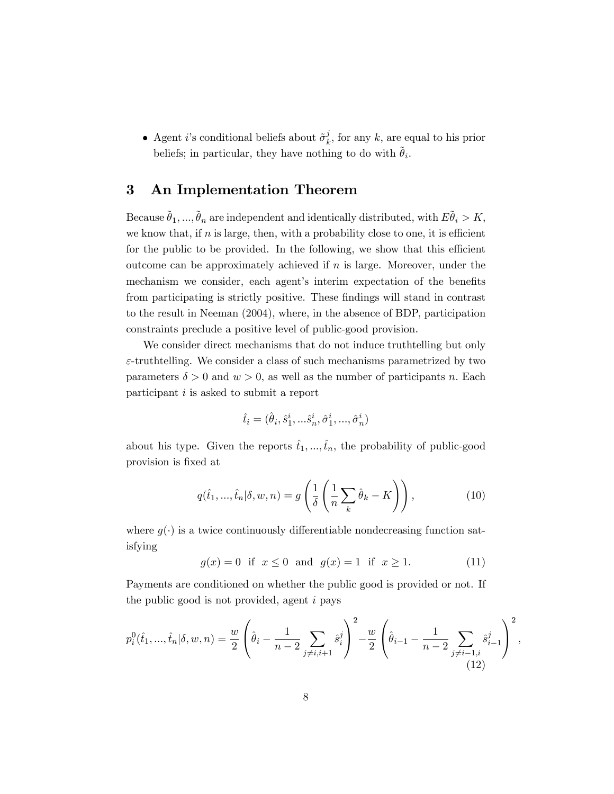• Agent *i*'s conditional beliefs about  $\tilde{\sigma}_k^j$  $\kappa_k^j$ , for any k, are equal to his prior beliefs; in particular, they have nothing to do with  $\tilde{\theta}_i$ .

## 3 An Implementation Theorem

Because  $\tilde{\theta}_1,...,\tilde{\theta}_n$  are independent and identically distributed, with  $E\tilde{\theta}_i > K,$ we know that, if  $n$  is large, then, with a probability close to one, it is efficient for the public to be provided. In the following, we show that this efficient outcome can be approximately achieved if  $n$  is large. Moreover, under the mechanism we consider, each agent's interim expectation of the benefits from participating is strictly positive. These findings will stand in contrast to the result in Neeman (2004), where, in the absence of BDP, participation constraints preclude a positive level of public-good provision.

We consider direct mechanisms that do not induce truthtelling but only  $\varepsilon$ -truthtelling. We consider a class of such mechanisms parametrized by two parameters  $\delta > 0$  and  $w > 0$ , as well as the number of participants n. Each participant i is asked to submit a report

$$
\hat{t}_i=(\hat{\theta}_i,\hat{s}_1^i,...\hat{s}_n^i,\hat{\sigma}_1^i,...,\hat{\sigma}_n^i)
$$

about his type. Given the reports  $\hat{t}_1, ..., \hat{t}_n$ , the probability of public-good provision is fixed at

$$
q(\hat{t}_1, ..., \hat{t}_n | \delta, w, n) = g\left(\frac{1}{\delta} \left(\frac{1}{n} \sum_k \hat{\theta}_k - K\right)\right),\tag{10}
$$

where  $g(\cdot)$  is a twice continuously differentiable nondecreasing function satisfying

$$
g(x) = 0
$$
 if  $x \le 0$  and  $g(x) = 1$  if  $x \ge 1$ . (11)

Payments are conditioned on whether the public good is provided or not. If the public good is not provided, agent  $i$  pays

$$
p_i^0(\hat{t}_1, ..., \hat{t}_n | \delta, w, n) = \frac{w}{2} \left( \hat{\theta}_i - \frac{1}{n-2} \sum_{j \neq i, i+1} \hat{s}_i^j \right)^2 - \frac{w}{2} \left( \hat{\theta}_{i-1} - \frac{1}{n-2} \sum_{j \neq i-1, i} \hat{s}_{i-1}^j \right)^2,
$$
\n(12)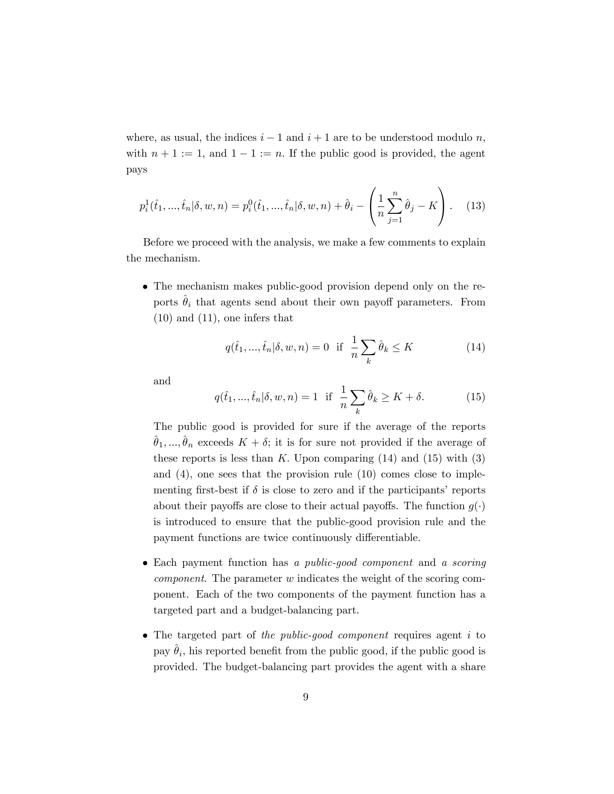where, as usual, the indices  $i - 1$  and  $i + 1$  are to be understood modulo n, with  $n + 1 := 1$ , and  $1 - 1 := n$ . If the public good is provided, the agent pays

$$
p_i^1(\hat{t}_1, ..., \hat{t}_n | \delta, w, n) = p_i^0(\hat{t}_1, ..., \hat{t}_n | \delta, w, n) + \hat{\theta}_i - \left(\frac{1}{n} \sum_{j=1}^n \hat{\theta}_j - K\right).
$$
 (13)

Before we proceed with the analysis, we make a few comments to explain the mechanism.

 The mechanism makes public-good provision depend only on the reports  $\theta_i$  that agents send about their own payoff parameters. From (10) and (11), one infers that

$$
q(\hat{t}_1, ..., \hat{t}_n | \delta, w, n) = 0 \text{ if } \frac{1}{n} \sum_{k} \hat{\theta}_k \le K \tag{14}
$$

and

$$
q(\hat{t}_1, ..., \hat{t}_n | \delta, w, n) = 1 \text{ if } \frac{1}{n} \sum_{k} \hat{\theta}_k \ge K + \delta. \tag{15}
$$

The public good is provided for sure if the average of the reports  $\hat{\theta}_1, ..., \hat{\theta}_n$  exceeds  $K + \delta$ ; it is for sure not provided if the average of these reports is less than  $K$ . Upon comparing  $(14)$  and  $(15)$  with  $(3)$ and (4), one sees that the provision rule (10) comes close to implementing first-best if  $\delta$  is close to zero and if the participants' reports about their payoffs are close to their actual payoffs. The function  $g(\cdot)$ is introduced to ensure that the public-good provision rule and the payment functions are twice continuously differentiable.

- Each payment function has a *public-good component* and a *scoring component*. The parameter  $w$  indicates the weight of the scoring component. Each of the two components of the payment function has a targeted part and a budget-balancing part.
- The targeted part of the public-good component requires agent i to pay  $\hat{\theta}_i$ , his reported benefit from the public good, if the public good is provided. The budget-balancing part provides the agent with a share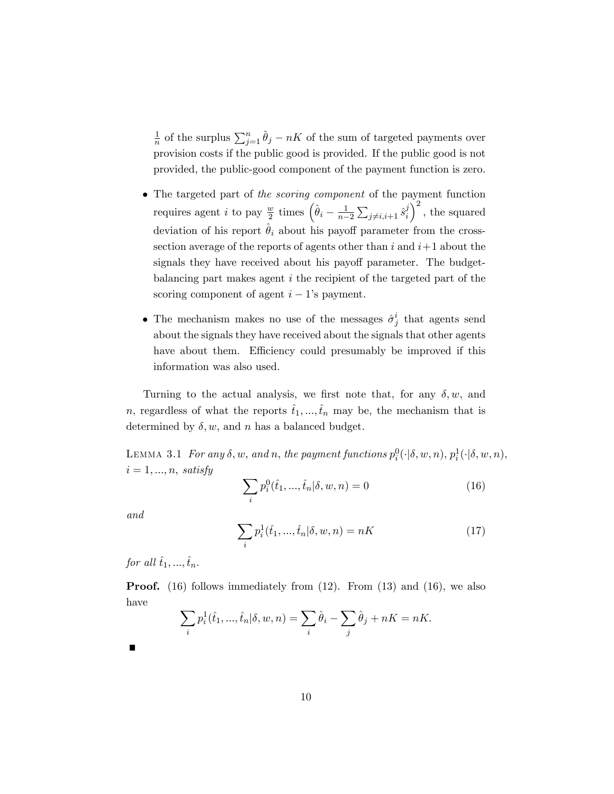1  $\frac{1}{n}$  of the surplus  $\sum_{j=1}^{n} \hat{\theta}_{j} - nK$  of the sum of targeted payments over provision costs if the public good is provided. If the public good is not provided, the public-good component of the payment function is zero.

- The targeted part of the scoring component of the payment function requires agent *i* to pay  $\frac{w}{2}$  times  $(\hat{\theta}_i - \frac{1}{n-1})$  $\frac{1}{n-2}\sum_{j\neq i,i+1} \hat{s}^j_i$ i  $\int_0^2$ , the squared deviation of his report  $\hat{\theta}_i$  about his payoff parameter from the crosssection average of the reports of agents other than i and  $i+1$  about the signals they have received about his payoff parameter. The budgetbalancing part makes agent  $i$  the recipient of the targeted part of the scoring component of agent  $i - 1$ 's payment.
- The mechanism makes no use of the messages  $\hat{\sigma}^i_j$  that agents send about the signals they have received about the signals that other agents have about them. Efficiency could presumably be improved if this information was also used.

Turning to the actual analysis, we first note that, for any  $\delta, w$ , and n, regardless of what the reports  $t_1, ..., t_n$  may be, the mechanism that is determined by  $\delta, w$ , and n has a balanced budget.

LEMMA 3.1 For any  $\delta, w$ , and n, the payment functions  $p_i^0(\cdot | \delta, w, n), p_i^1(\cdot | \delta, w, n)$ ,  $i = 1, \ldots, n$ , satisfy

$$
\sum_{i} p_i^0(\hat{t}_1, ..., \hat{t}_n | \delta, w, n) = 0
$$
\n(16)

and

$$
\sum_{i} p_i^1(\hat{t}_1, ..., \hat{t}_n | \delta, w, n) = nK
$$
\n(17)

for all  $\hat{t}_1, ..., \hat{t}_n$ .

**Proof.** (16) follows immediately from (12). From (13) and (16), we also have

$$
\sum_{i} p_i^1(\hat{t}_1, ..., \hat{t}_n | \delta, w, n) = \sum_{i} \hat{\theta}_i - \sum_{j} \hat{\theta}_j + nK = nK.
$$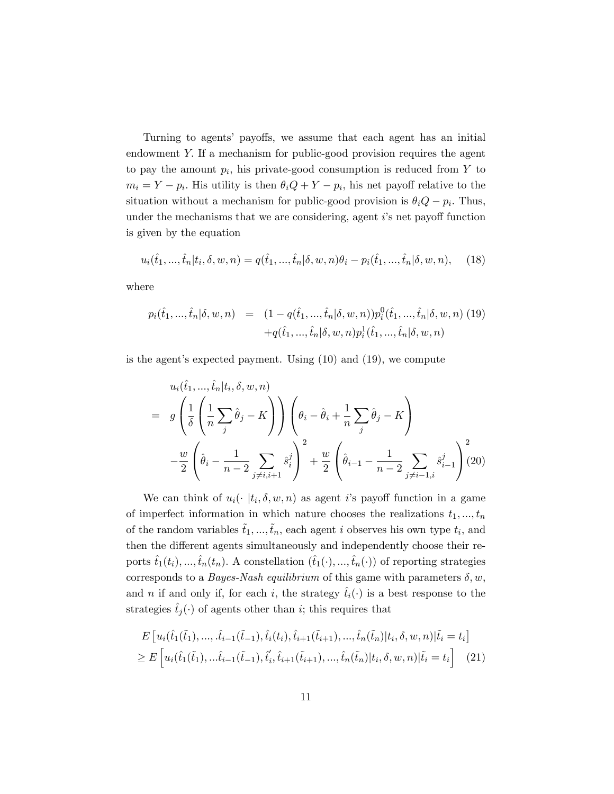Turning to agents' payoffs, we assume that each agent has an initial endowment Y: If a mechanism for public-good provision requires the agent to pay the amount  $p_i$ , his private-good consumption is reduced from Y to  $m_i = Y - p_i$ . His utility is then  $\theta_i Q + Y - p_i$ , his net payoff relative to the situation without a mechanism for public-good provision is  $\theta_i Q - p_i$ . Thus, under the mechanisms that we are considering, agent  $i$ 's net payoff function is given by the equation

$$
u_i(\hat{t}_1, ..., \hat{t}_n | t_i, \delta, w, n) = q(\hat{t}_1, ..., \hat{t}_n | \delta, w, n) \theta_i - p_i(\hat{t}_1, ..., \hat{t}_n | \delta, w, n), \quad (18)
$$

where

$$
p_i(\hat{t}_1, ..., \hat{t}_n | \delta, w, n) = (1 - q(\hat{t}_1, ..., \hat{t}_n | \delta, w, n)) p_i^0(\hat{t}_1, ..., \hat{t}_n | \delta, w, n) (19) +q(\hat{t}_1, ..., \hat{t}_n | \delta, w, n) p_i^1(\hat{t}_1, ..., \hat{t}_n | \delta, w, n)
$$

is the agent's expected payment. Using  $(10)$  and  $(19)$ , we compute

$$
u_i(\hat{t}_1, ..., \hat{t}_n | t_i, \delta, w, n)
$$
  
=  $g\left(\frac{1}{\delta}\left(\frac{1}{n}\sum_j \hat{\theta}_j - K\right)\right)\left(\theta_i - \hat{\theta}_i + \frac{1}{n}\sum_j \hat{\theta}_j - K\right)$   

$$
-\frac{w}{2}\left(\hat{\theta}_i - \frac{1}{n-2}\sum_{j \neq i, i+1} \hat{s}_i^j\right)^2 + \frac{w}{2}\left(\hat{\theta}_{i-1} - \frac{1}{n-2}\sum_{j \neq i-1, i} \hat{s}_{i-1}^j\right)^2 (20)
$$

We can think of  $u_i(\cdot | t_i, \delta, w, n)$  as agent is payoff function in a game of imperfect information in which nature chooses the realizations  $t_1, ..., t_n$ of the random variables  $\tilde{t}_1, ..., \tilde{t}_n$ , each agent i observes his own type  $t_i$ , and then the different agents simultaneously and independently choose their reports  $\hat{t}_1(t_i), ..., \hat{t}_n(t_n)$ . A constellation  $(\hat{t}_1(\cdot), ..., \hat{t}_n(\cdot))$  of reporting strategies corresponds to a Bayes-Nash equilibrium of this game with parameters  $\delta, w$ , and n if and only if, for each i, the strategy  $\hat{t}_i(\cdot)$  is a best response to the strategies  $t_j(\cdot)$  of agents other than i; this requires that

$$
E\left[u_i(\hat{t}_1(\tilde{t}_1),..., \hat{t}_{i-1}(\tilde{t}_{-1}), \hat{t}_i(t_i), \hat{t}_{i+1}(\tilde{t}_{i+1}),..., \hat{t}_n(\tilde{t}_n)|t_i, \delta, w, n)\right]\tilde{t}_i = t_i\right]
$$
  
\n
$$
\geq E\left[u_i(\hat{t}_1(\tilde{t}_1),...\hat{t}_{i-1}(\tilde{t}_{-1}), \hat{t}'_i,\hat{t}_{i+1}(\tilde{t}_{i+1}),...,\hat{t}_n(\tilde{t}_n)|t_i, \delta, w, n)\right]\tilde{t}_i = t_i\right]
$$
 (21)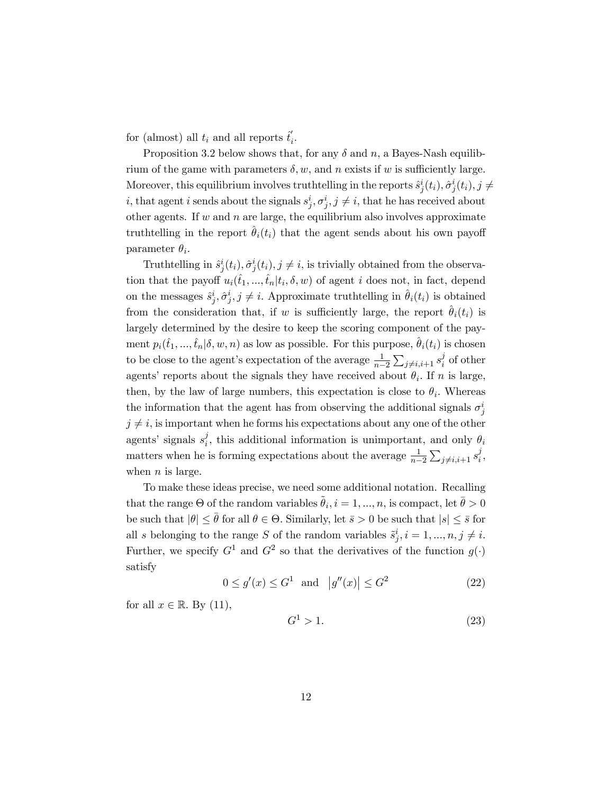for (almost) all  $t_i$  and all reports  $\hat{t}'_i$ .

Proposition 3.2 below shows that, for any  $\delta$  and n, a Bayes-Nash equilibrium of the game with parameters  $\delta, w$ , and n exists if w is sufficiently large. Moreover, this equilibrium involves truthtelling in the reports  $\hat{s}^i_j(t_i), \hat{\sigma}^i_j(t_i), j \neq 0$  $i$ , that agent  $i$  sends about the signals  $s_j^i, \sigma_j^i, j \neq i$ , that he has received about other agents. If w and n are large, the equilibrium also involves approximate truthtelling in the report  $\hat{\theta}_i(t_i)$  that the agent sends about his own payoff parameter  $\theta_i$ .

Truthtelling in  $\hat{s}^i_j(t_i)$ ,  $\hat{\sigma}^i_j(t_i)$ ,  $j \neq i$ , is trivially obtained from the observation that the payoff  $u_i(\hat{t}_1, ..., \hat{t}_n | t_i, \delta, w)$  of agent i does not, in fact, depend on the messages  $\hat{s}_j^i, \hat{\sigma}_j^i, j \neq i$ . Approximate truthtelling in  $\hat{\theta}_i(t_i)$  is obtained from the consideration that, if w is sufficiently large, the report  $\theta_i(t_i)$  is largely determined by the desire to keep the scoring component of the payment  $p_i(\hat{t}_1, \ldots, \hat{t}_n|\delta, w, n)$  as low as possible. For this purpose,  $\hat{\theta}_i(t_i)$  is chosen to be close to the agent's expectation of the average  $\frac{1}{n-2} \sum_{j \neq i, i+1} s_i^j$  $i$  of other agents' reports about the signals they have received about  $\theta_i$ . If n is large, then, by the law of large numbers, this expectation is close to  $\theta_i$ . Whereas the information that the agent has from observing the additional signals  $\sigma_j^i$  $j \neq i$ , is important when he forms his expectations about any one of the other agents' signals  $s_i^j$  $i<sub>i</sub>$ , this additional information is unimportant, and only  $\theta_i$ matters when he is forming expectations about the average  $\frac{1}{n-2} \sum_{j \neq i, i+1} s_i^j$  $\frac{j}{i}$ , when  $n$  is large.

To make these ideas precise, we need some additional notation. Recalling that the range  $\Theta$  of the random variables  $\tilde{\theta}_i, i = 1, ..., n$ , is compact, let  $\bar{\theta} > 0$ be such that  $|\theta| \leq \bar{\theta}$  for all  $\theta \in \Theta$ . Similarly, let  $\bar{s} > 0$  be such that  $|s| \leq \bar{s}$  for all s belonging to the range S of the random variables  $\tilde{s}_j^i$ ,  $i = 1, ..., n, j \neq i$ . Further, we specify  $G^1$  and  $G^2$  so that the derivatives of the function  $g(\cdot)$ satisfy

$$
0 \le g'(x) \le G^1 \quad \text{and} \quad |g''(x)| \le G^2 \tag{22}
$$

for all  $x \in \mathbb{R}$ . By (11),

$$
G^1 > 1. \tag{23}
$$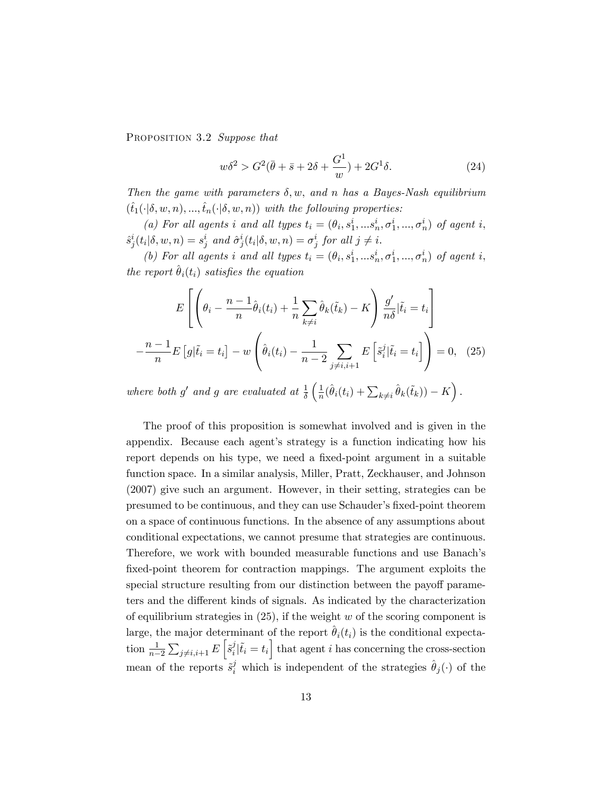PROPOSITION 3.2 Suppose that

$$
w\delta^2 > G^2(\bar{\theta} + \bar{s} + 2\delta + \frac{G^1}{w}) + 2G^1\delta.
$$
 (24)

Then the game with parameters  $\delta, w$ , and n has a Bayes-Nash equilibrium  $(\hat{t}_1(\cdot|\delta, w, n), ..., \hat{t}_n(\cdot|\delta, w, n))$  with the following properties:

(a) For all agents i and all types  $t_i = (\theta_i, s_1^i, \dots s_n^i, \sigma_1^i, \dots, \sigma_n^i)$  of agent i,  $\hat{s}^i_j(t_i | \delta, w, n) = s^i_j$  and  $\hat{\sigma}^i_j(t_i | \delta, w, n) = \sigma^i_j$  for all  $j \neq i$ .

(b) For all agents i and all types  $t_i = (\theta_i, s_1^i, \dots s_n^i, \sigma_1^i, \dots, \sigma_n^i)$  of agent i, the report  $\hat{\theta}_i(t_i)$  satisfies the equation

$$
E\left[\left(\theta_i - \frac{n-1}{n}\hat{\theta}_i(t_i) + \frac{1}{n}\sum_{k\neq i}\hat{\theta}_k(\tilde{t}_k) - K\right)\frac{g'}{n\delta}|\tilde{t}_i = t_i\right]
$$

$$
-\frac{n-1}{n}E\left[g|\tilde{t}_i = t_i\right] - w\left(\hat{\theta}_i(t_i) - \frac{1}{n-2}\sum_{j\neq i,i+1}E\left[\tilde{s}_i^j|\tilde{t}_i = t_i\right]\right) = 0, \quad (25)
$$

where both  $g'$  and  $g$  are evaluated at  $\frac{1}{\delta}$  $\sqrt{1}$  $\frac{1}{n}(\hat{\theta}_i(t_i) + \sum_{k \neq i} \hat{\theta}_k(\tilde{t}_k)) - K$ .

The proof of this proposition is somewhat involved and is given in the appendix. Because each agentís strategy is a function indicating how his report depends on his type, we need a fixed-point argument in a suitable function space. In a similar analysis, Miller, Pratt, Zeckhauser, and Johnson (2007) give such an argument. However, in their setting, strategies can be presumed to be continuous, and they can use Schauder's fixed-point theorem on a space of continuous functions. In the absence of any assumptions about conditional expectations, we cannot presume that strategies are continuous. Therefore, we work with bounded measurable functions and use Banachís fixed-point theorem for contraction mappings. The argument exploits the special structure resulting from our distinction between the payoff parameters and the different kinds of signals. As indicated by the characterization of equilibrium strategies in  $(25)$ , if the weight w of the scoring component is large, the major determinant of the report  $\hat{\theta}_i(t_i)$  is the conditional expectation  $\frac{1}{n-2} \sum_{j \neq i, i+1} E\left[\tilde{s}_i^j\right]$  $\tilde{t}_i^j | \tilde{t}_i = t_i$  that agent i has concerning the cross-section mean of the reports  $\tilde{s}_i^j$  which is independent of the strategies  $\hat{\theta}_j(\cdot)$  of the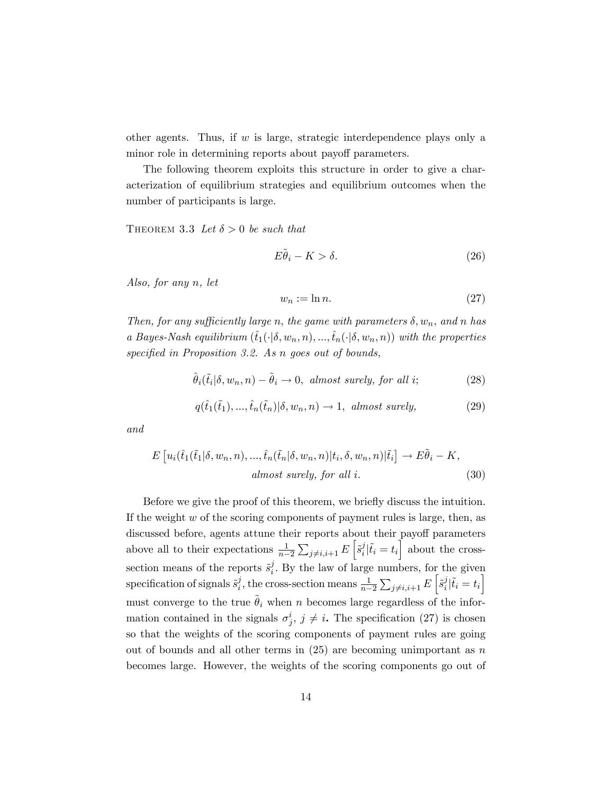other agents. Thus, if  $w$  is large, strategic interdependence plays only a minor role in determining reports about payoff parameters.

The following theorem exploits this structure in order to give a characterization of equilibrium strategies and equilibrium outcomes when the number of participants is large.

THEOREM 3.3 Let  $\delta > 0$  be such that

$$
E\tilde{\theta}_i - K > \delta. \tag{26}
$$

Also, for any n, let

$$
w_n := \ln n. \tag{27}
$$

Then, for any sufficiently large n, the game with parameters  $\delta, w_n$ , and n has a Bayes-Nash equilibrium  $(\hat{t}_1(\cdot|\delta, w_n, n), ..., \hat{t}_n(\cdot|\delta, w_n, n))$  with the properties specified in Proposition 3.2. As n goes out of bounds,

$$
\hat{\theta}_i(\tilde{t}_i|\delta, w_n, n) - \tilde{\theta}_i \to 0, \text{ almost surely, for all } i;
$$
\n(28)

$$
q(\hat{t}_1(\tilde{t}_1),...,\hat{t}_n(\tilde{t}_n)|\delta,w_n,n) \to 1, \text{ almost surely, } (29)
$$

and

$$
E\left[u_i(\hat{t}_1(\tilde{t}_1|\delta, w_n, n), ..., \hat{t}_n(\tilde{t}_n|\delta, w_n, n)|t_i, \delta, w_n, n)|\tilde{t}_i\right] \to E\tilde{\theta}_i - K,
$$
  
almost surely, for all i. (30)

Before we give the proof of this theorem, we briefly discuss the intuition. If the weight  $w$  of the scoring components of payment rules is large, then, as discussed before, agents attune their reports about their payoff parameters above all to their expectations  $\frac{1}{n-2} \sum_{j \neq i, i+1} E\left[\tilde{s}_i^j\right]$  $i_i^j | \tilde{t}_i = t_i \overline{\Big]}$  about the crosssection means of the reports  $\tilde{s}_i^j$  $\mu_i^j$ . By the law of large numbers, for the given specification of signals  $\tilde{s}_i^j$  $\sum_{i=1}^{j}$ , the cross-section means  $\frac{1}{n-2} \sum_{j \neq i, i+1} E\left[\tilde{s}_i^j\right]$  $i^j|\tilde{t}_i = t_i\Big]$ must converge to the true  $\tilde{\theta}_i$  when n becomes large regardless of the information contained in the signals  $\sigma_j^i$ ,  $j \neq i$ . The specification (27) is chosen so that the weights of the scoring components of payment rules are going out of bounds and all other terms in  $(25)$  are becoming unimportant as n becomes large. However, the weights of the scoring components go out of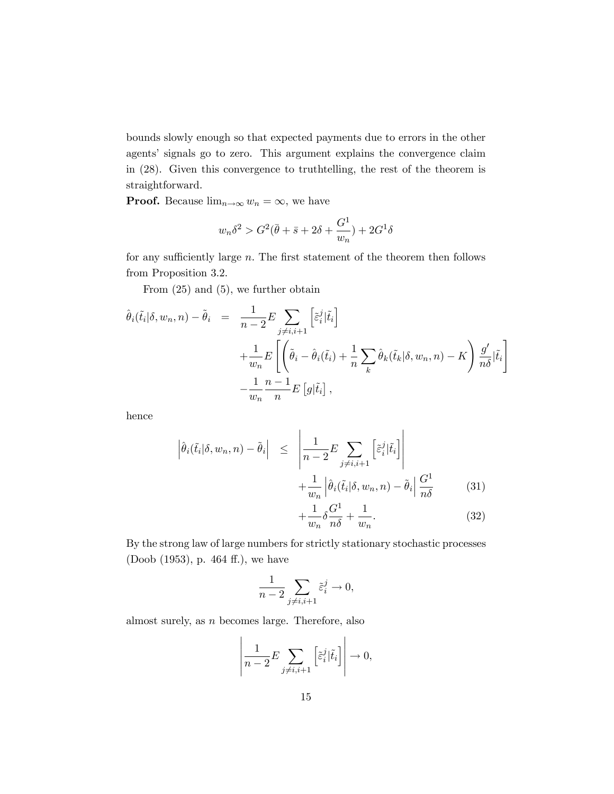bounds slowly enough so that expected payments due to errors in the other agents' signals go to zero. This argument explains the convergence claim in (28). Given this convergence to truthtelling, the rest of the theorem is straightforward.

**Proof.** Because  $\lim_{n\to\infty} w_n = \infty$ , we have

$$
w_n\delta^2 > G^2(\bar\theta+\bar s+2\delta+\frac{G^1}{w_n})+2G^1\delta
$$

for any sufficiently large  $n$ . The first statement of the theorem then follows from Proposition 3.2.

From (25) and (5), we further obtain

$$
\hat{\theta}_{i}(\tilde{t}_{i}|\delta, w_{n}, n) - \tilde{\theta}_{i} = \frac{1}{n-2} E \sum_{j \neq i, i+1} \left[ \tilde{\varepsilon}_{i}^{j} | \tilde{t}_{i} \right] \n+ \frac{1}{w_{n}} E \left[ \left( \tilde{\theta}_{i} - \hat{\theta}_{i}(\tilde{t}_{i}) + \frac{1}{n} \sum_{k} \hat{\theta}_{k}(\tilde{t}_{k}|\delta, w_{n}, n) - K \right) \frac{g'}{n\delta} | \tilde{t}_{i} \right] \n- \frac{1}{w_{n}} \frac{n-1}{n} E \left[ g | \tilde{t}_{i} \right],
$$

hence

$$
\left| \hat{\theta}_{i}(\tilde{t}_{i}|\delta, w_{n}, n) - \tilde{\theta}_{i} \right| \leq \left| \frac{1}{n-2} E \sum_{j \neq i, i+1} \left[ \tilde{\varepsilon}_{i}^{j} |\tilde{t}_{i} \right] \right| + \frac{1}{w_{n}} \left| \hat{\theta}_{i}(\tilde{t}_{i}|\delta, w_{n}, n) - \tilde{\theta}_{i} \right| \frac{G^{1}}{n\delta} + \frac{1}{w_{n}} \delta \frac{G^{1}}{n\delta} + \frac{1}{w_{n}}.
$$
\n(31)

By the strong law of large numbers for strictly stationary stochastic processes  $(Doob (1953), p. 464 ff.),$  we have

$$
\frac{1}{n-2} \sum_{j \neq i, i+1} \tilde{\varepsilon}_i^j \to 0,
$$

almost surely, as n becomes large. Therefore, also

$$
\left|\frac{1}{n-2}E\sum_{j\neq i,i+1}\left[\tilde{\varepsilon}^j_i|\tilde{t}_i\right]\right|\to 0,
$$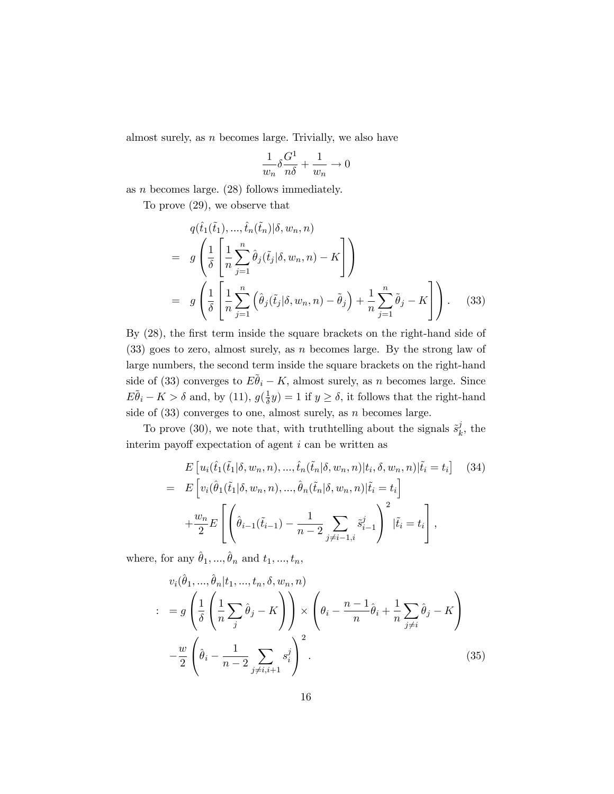almost surely, as  $n$  becomes large. Trivially, we also have

$$
\frac{1}{w_n}\delta\frac{G^1}{n\delta}+\frac{1}{w_n}\to 0
$$

as  $n$  becomes large. (28) follows immediately.

To prove (29), we observe that

$$
q(\hat{t}_1(\tilde{t}_1), ..., \hat{t}_n(\tilde{t}_n)|\delta, w_n, n)
$$
  
=  $g\left(\frac{1}{\delta}\left[\frac{1}{n}\sum_{j=1}^n \hat{\theta}_j(\tilde{t}_j|\delta, w_n, n) - K\right]\right)$   
=  $g\left(\frac{1}{\delta}\left[\frac{1}{n}\sum_{j=1}^n \left(\hat{\theta}_j(\tilde{t}_j|\delta, w_n, n) - \tilde{\theta}_j\right) + \frac{1}{n}\sum_{j=1}^n \tilde{\theta}_j - K\right]\right)$ . (33)

By  $(28)$ , the first term inside the square brackets on the right-hand side of  $(33)$  goes to zero, almost surely, as n becomes large. By the strong law of large numbers, the second term inside the square brackets on the right-hand side of (33) converges to  $E\tilde{\theta}_i - K$ , almost surely, as n becomes large. Since  $E\tilde{\theta}_i - K > \delta$  and, by (11),  $g(\frac{1}{\delta})$  $(\frac{1}{\delta}y) = 1$  if  $y \ge \delta$ , it follows that the right-hand side of  $(33)$  converges to one, almost surely, as n becomes large.

To prove (30), we note that, with truthtelling about the signals  $\tilde{s}_k^j$  $\frac{j}{k}$ , the interim payoff expectation of agent  $i$  can be written as

$$
E\left[u_i(\hat{t}_1(\tilde{t}_1|\delta, w_n, n), ..., \hat{t}_n(\tilde{t}_n|\delta, w_n, n)|t_i, \delta, w_n, n)|\tilde{t}_i = t_i\right]
$$
(34)  
= 
$$
E\left[v_i(\hat{\theta}_1(\tilde{t}_1|\delta, w_n, n), ..., \hat{\theta}_n(\tilde{t}_n|\delta, w_n, n)|\tilde{t}_i = t_i\right]
$$

$$
+\frac{w_n}{2}E\left[\left(\hat{\theta}_{i-1}(\tilde{t}_{i-1}) - \frac{1}{n-2} \sum_{j \neq i-1, i} \tilde{s}_{i-1}^j\right)^2|\tilde{t}_i = t_i\right],
$$

where, for any  $\hat{\theta}_1, ..., \hat{\theta}_n$  and  $t_1, ..., t_n$ ,

$$
v_i(\hat{\theta}_1, ..., \hat{\theta}_n | t_1, ..., t_n, \delta, w_n, n)
$$
  
\n
$$
= g\left(\frac{1}{\delta} \left(\frac{1}{n} \sum_j \hat{\theta}_j - K\right)\right) \times \left(\theta_i - \frac{n-1}{n} \hat{\theta}_i + \frac{1}{n} \sum_{j \neq i} \hat{\theta}_j - K\right)
$$
  
\n
$$
-\frac{w}{2} \left(\hat{\theta}_i - \frac{1}{n-2} \sum_{j \neq i, i+1} s_i^j\right)^2.
$$
\n(35)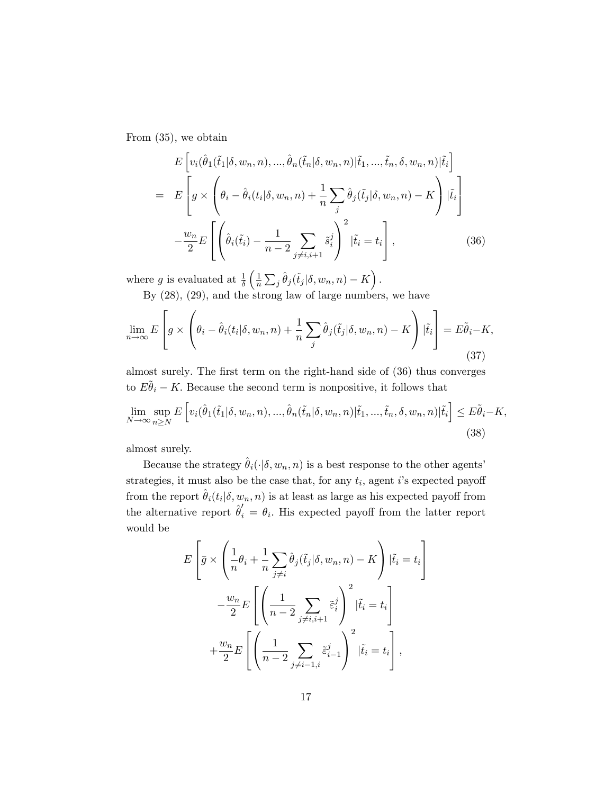From (35), we obtain

$$
E\left[v_i(\hat{\theta}_1(\tilde{t}_1|\delta, w_n, n), ..., \hat{\theta}_n(\tilde{t}_n|\delta, w_n, n)|\tilde{t}_1, ..., \tilde{t}_n, \delta, w_n, n)|\tilde{t}_i\right]
$$

$$
= E\left[g \times \left(\theta_i - \hat{\theta}_i(t_i|\delta, w_n, n) + \frac{1}{n}\sum_j \hat{\theta}_j(\tilde{t}_j|\delta, w_n, n) - K\right)|\tilde{t}_i\right]
$$

$$
-\frac{w_n}{2}E\left[\left(\hat{\theta}_i(\tilde{t}_i) - \frac{1}{n-2}\sum_{j \neq i, i+1} \tilde{s}_i^j\right)^2|\tilde{t}_i = t_i\right],
$$
(36)

where g is evaluated at  $\frac{1}{\delta}$  $\sqrt{1}$  $\frac{1}{n} \sum_j \hat{\theta}_j(\tilde{t}_j | \delta, w_n, n) - K$ .

By (28), (29), and the strong law of large numbers, we have

$$
\lim_{n \to \infty} E\left[g \times \left(\theta_i - \hat{\theta}_i(t_i|\delta, w_n, n) + \frac{1}{n} \sum_j \hat{\theta}_j(\tilde{t}_j|\delta, w_n, n) - K\right) | \tilde{t}_i\right] = E\tilde{\theta}_i - K,
$$
\n(37)

almost surely. The first term on the right-hand side of  $(36)$  thus converges to  $E\tilde{\theta}_i - K$ . Because the second term is nonpositive, it follows that

$$
\lim_{N \to \infty} \sup_{n \ge N} E\left[v_i(\hat{\theta}_1(\tilde{t}_1 | \delta, w_n, n), \dots, \hat{\theta}_n(\tilde{t}_n | \delta, w_n, n)|\tilde{t}_1, \dots, \tilde{t}_n, \delta, w_n, n)|\tilde{t}_i\right] \le E\tilde{\theta}_i - K,
$$
\n(38)

almost surely.

Because the strategy  $\hat{\theta}_i(\cdot | \delta, w_n, n)$  is a best response to the other agents<sup>'</sup> strategies, it must also be the case that, for any  $t_i$ , agent i's expected payoff from the report  $\hat{\theta}_i(t_i|\delta, w_n, n)$  is at least as large as his expected payoff from the alternative report  $\hat{\theta}'_i = \theta_i$ . His expected payoff from the latter report would be

$$
E\left[\bar{g} \times \left(\frac{1}{n}\theta_i + \frac{1}{n}\sum_{j\neq i}\hat{\theta}_j(\tilde{t}_j|\delta, w_n, n) - K\right)|\tilde{t}_i = t_i\right]
$$

$$
-\frac{w_n}{2}E\left[\left(\frac{1}{n-2}\sum_{j\neq i, i+1}\tilde{\varepsilon}_i^j\right)^2|\tilde{t}_i = t_i\right]
$$

$$
+\frac{w_n}{2}E\left[\left(\frac{1}{n-2}\sum_{j\neq i-1, i}\tilde{\varepsilon}_{i-1}^j\right)^2|\tilde{t}_i = t_i\right],
$$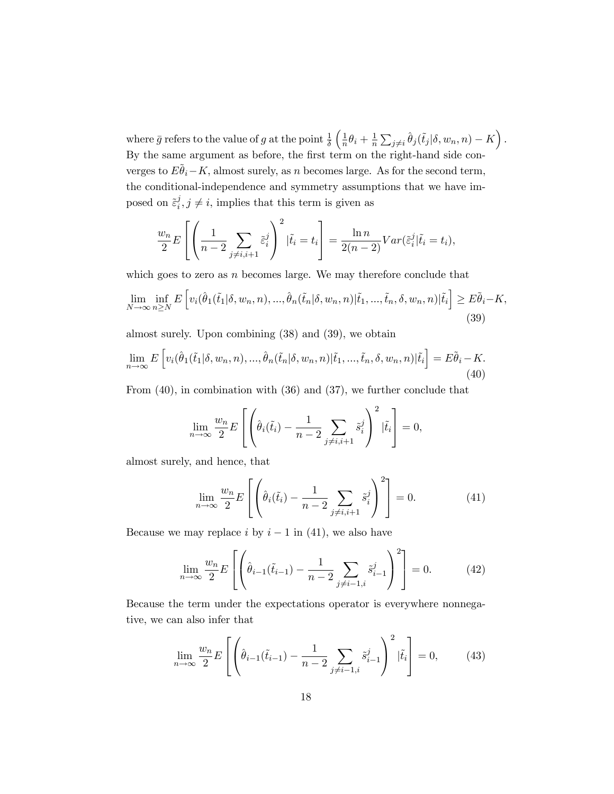where  $\bar{g}$  refers to the value of g at the point  $\frac{1}{\delta}$  $\sqrt{1}$  $\frac{1}{n}\theta_i + \frac{1}{n}$  $\frac{1}{n} \sum_{j \neq i} \hat{\theta}_j(\tilde{t}_j | \delta, w_n, n) - K$ ). By the same argument as before, the first term on the right-hand side converges to  $E\ddot{\theta}_i - K$ , almost surely, as n becomes large. As for the second term, the conditional-independence and symmetry assumptions that we have imposed on  $\tilde{\varepsilon}_i^j$  $i, j \neq i$ , implies that this term is given as

$$
\frac{w_n}{2} E\left[\left(\frac{1}{n-2} \sum_{j \neq i, i+1} \tilde{\varepsilon}_i^j\right)^2 | \tilde{t}_i = t_i\right] = \frac{\ln n}{2(n-2)} Var(\tilde{\varepsilon}_i^j | \tilde{t}_i = t_i),
$$

which goes to zero as  $n$  becomes large. We may therefore conclude that

$$
\lim_{N \to \infty} \inf_{n \ge N} E\left[v_i(\hat{\theta}_1(\tilde{t}_1 | \delta, w_n, n), \dots, \hat{\theta}_n(\tilde{t}_n | \delta, w_n, n)|\tilde{t}_1, \dots, \tilde{t}_n, \delta, w_n, n)|\tilde{t}_i\right] \ge E\tilde{\theta}_i - K,
$$
\n(39)

almost surely. Upon combining (38) and (39), we obtain

$$
\lim_{n \to \infty} E\left[v_i(\hat{\theta}_1(\tilde{t}_1|\delta, w_n, n), ..., \hat{\theta}_n(\tilde{t}_n|\delta, w_n, n)|\tilde{t}_1, ..., \tilde{t}_n, \delta, w_n, n)|\tilde{t}_i\right] = E\tilde{\theta}_i - K.
$$
\n(40)

From (40), in combination with (36) and (37), we further conclude that

$$
\lim_{n \to \infty} \frac{w_n}{2} E\left[ \left( \hat{\theta}_i(\tilde{t}_i) - \frac{1}{n-2} \sum_{j \neq i, i+1} \tilde{s}_i^j \right)^2 | \tilde{t}_i \right] = 0,
$$

almost surely, and hence, that

$$
\lim_{n \to \infty} \frac{w_n}{2} E\left[ \left( \hat{\theta}_i(\tilde{t}_i) - \frac{1}{n-2} \sum_{j \neq i, i+1} \tilde{s}_i^j \right)^2 \right] = 0. \tag{41}
$$

Because we may replace i by  $i - 1$  in (41), we also have

$$
\lim_{n \to \infty} \frac{w_n}{2} E\left[ \left( \hat{\theta}_{i-1}(\tilde{t}_{i-1}) - \frac{1}{n-2} \sum_{j \neq i-1, i} \tilde{s}_{i-1}^j \right)^2 \right] = 0. \tag{42}
$$

Because the term under the expectations operator is everywhere nonnegative, we can also infer that

$$
\lim_{n \to \infty} \frac{w_n}{2} E\left[ \left( \hat{\theta}_{i-1}(\tilde{t}_{i-1}) - \frac{1}{n-2} \sum_{j \neq i-1, i} \tilde{s}_{i-1}^j \right)^2 | \tilde{t}_i \right] = 0, \quad (43)
$$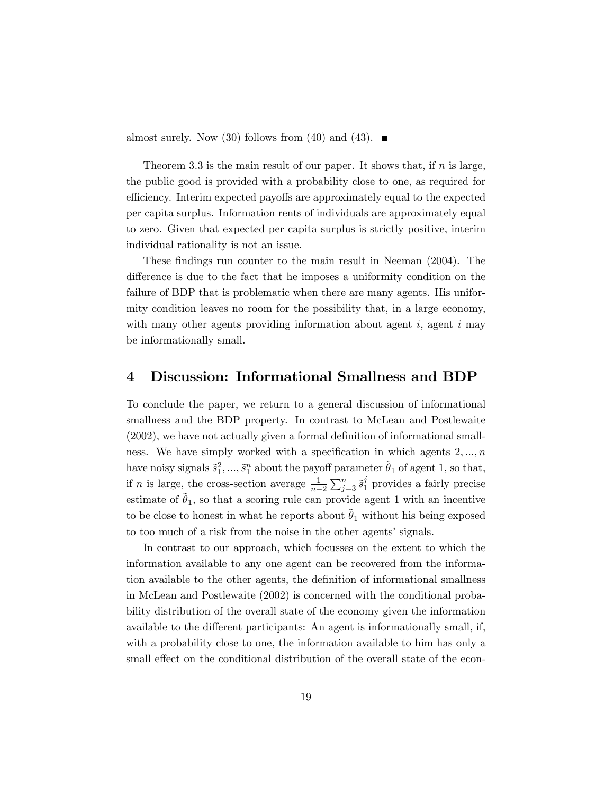almost surely. Now (30) follows from (40) and (43).  $\blacksquare$ 

Theorem 3.3 is the main result of our paper. It shows that, if  $n$  is large, the public good is provided with a probability close to one, as required for efficiency. Interim expected payoffs are approximately equal to the expected per capita surplus. Information rents of individuals are approximately equal to zero. Given that expected per capita surplus is strictly positive, interim individual rationality is not an issue.

These findings run counter to the main result in Neeman (2004). The difference is due to the fact that he imposes a uniformity condition on the failure of BDP that is problematic when there are many agents. His uniformity condition leaves no room for the possibility that, in a large economy, with many other agents providing information about agent  $i$ , agent  $i$  may be informationally small.

### 4 Discussion: Informational Smallness and BDP

To conclude the paper, we return to a general discussion of informational smallness and the BDP property. In contrast to McLean and Postlewaite  $(2002)$ , we have not actually given a formal definition of informational smallness. We have simply worked with a specification in which agents  $2, \ldots, n$ have noisy signals  $\tilde{s}_1^2, ..., \tilde{s}_1^n$  about the payoff parameter  $\tilde{\theta}_1$  of agent 1, so that, if *n* is large, the cross-section average  $\frac{1}{n-2} \sum_{j=3}^{n} \tilde{s}_{1}^{j}$  $\frac{3}{1}$  provides a fairly precise estimate of  $\theta_1$ , so that a scoring rule can provide agent 1 with an incentive to be close to honest in what he reports about  $\tilde{\theta}_1$  without his being exposed to too much of a risk from the noise in the other agents' signals.

In contrast to our approach, which focusses on the extent to which the information available to any one agent can be recovered from the information available to the other agents, the definition of informational smallness in McLean and Postlewaite (2002) is concerned with the conditional probability distribution of the overall state of the economy given the information available to the different participants: An agent is informationally small, if, with a probability close to one, the information available to him has only a small effect on the conditional distribution of the overall state of the econ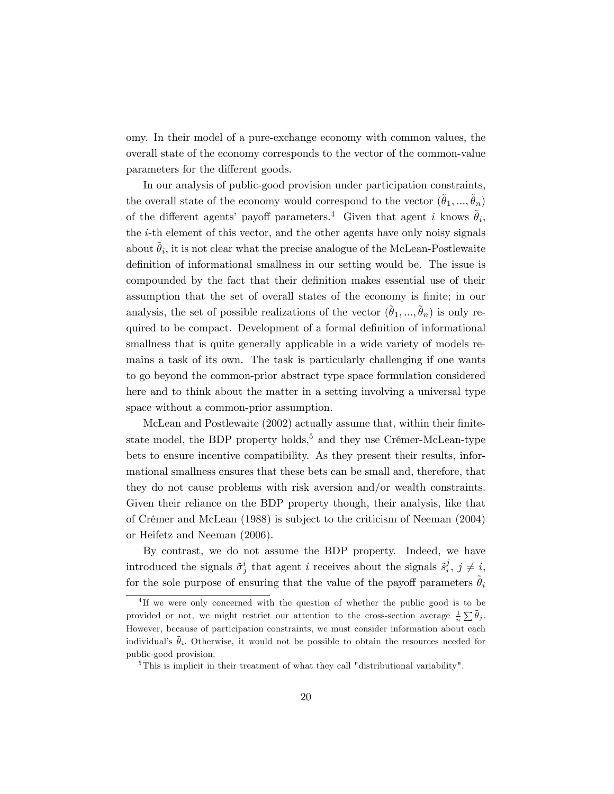omy. In their model of a pure-exchange economy with common values, the overall state of the economy corresponds to the vector of the common-value parameters for the different goods.

In our analysis of public-good provision under participation constraints, the overall state of the economy would correspond to the vector  $(\tilde{\theta}_1, ..., \tilde{\theta}_n)$ of the different agents' payoff parameters.<sup>4</sup> Given that agent i knows  $\tilde{\theta}_i$ , the  $i$ -th element of this vector, and the other agents have only noisy signals about  $\tilde{\theta}_i$ , it is not clear what the precise analogue of the McLean-Postlewaite definition of informational smallness in our setting would be. The issue is compounded by the fact that their definition makes essential use of their assumption that the set of overall states of the economy is finite; in our analysis, the set of possible realizations of the vector  $(\tilde{\theta}_1, ..., \tilde{\theta}_n)$  is only required to be compact. Development of a formal definition of informational smallness that is quite generally applicable in a wide variety of models remains a task of its own. The task is particularly challenging if one wants to go beyond the common-prior abstract type space formulation considered here and to think about the matter in a setting involving a universal type space without a common-prior assumption.

McLean and Postlewaite (2002) actually assume that, within their finitestate model, the BDP property holds,<sup>5</sup> and they use Crémer-McLean-type bets to ensure incentive compatibility. As they present their results, informational smallness ensures that these bets can be small and, therefore, that they do not cause problems with risk aversion and/or wealth constraints. Given their reliance on the BDP property though, their analysis, like that of CrÈmer and McLean (1988) is subject to the criticism of Neeman (2004) or Heifetz and Neeman (2006).

By contrast, we do not assume the BDP property. Indeed, we have introduced the signals  $\tilde{\sigma}_j^i$  that agent *i* receives about the signals  $\tilde{s}_i^j$  $j_i, j \neq i,$ for the sole purpose of ensuring that the value of the payoff parameters  $\tilde{\theta}_i$ 

<sup>&</sup>lt;sup>4</sup>If we were only concerned with the question of whether the public good is to be provided or not, we might restrict our attention to the cross-section average  $\frac{1}{n} \sum \tilde{\theta}_j$ . However, because of participation constraints, we must consider information about each individual's  $\tilde{\theta}_i$ . Otherwise, it would not be possible to obtain the resources needed for public-good provision.

<sup>5</sup>This is implicit in their treatment of what they call "distributional variability".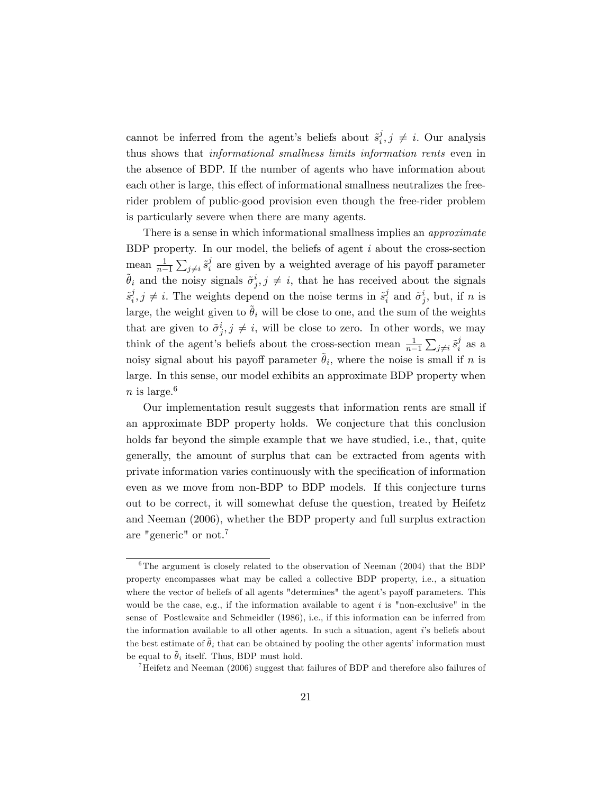cannot be inferred from the agent's beliefs about  $\tilde{s}_i^j$  $i, j \neq i$ . Our analysis thus shows that informational smallness limits information rents even in the absence of BDP. If the number of agents who have information about each other is large, this effect of informational smallness neutralizes the freerider problem of public-good provision even though the free-rider problem is particularly severe when there are many agents.

There is a sense in which informational smallness implies an *approximate* BDP property. In our model, the beliefs of agent  $i$  about the cross-section mean  $\frac{1}{n-1}\sum_{j\neq i}\tilde{s}_i^j$  $i_i$  are given by a weighted average of his payoff parameter  $\tilde{\theta}_i$  and the noisy signals  $\tilde{\sigma}_j^i, j \neq i$ , that he has received about the signals  $\tilde{s}^j_i$  $i, j \neq i$ . The weights depend on the noise terms in  $\tilde{s}_i^j$  $i$  and  $\tilde{\sigma}^i_j$ , but, if *n* is large, the weight given to  $\theta_i$  will be close to one, and the sum of the weights that are given to  $\tilde{\sigma}_j^i, j \neq i$ , will be close to zero. In other words, we may think of the agent's beliefs about the cross-section mean  $\frac{1}{n-1} \sum_{j \neq i} \tilde{s}_i^j$  $\frac{j}{i}$  as a noisy signal about his payoff parameter  $\tilde{\theta}_i$ , where the noise is small if n is large. In this sense, our model exhibits an approximate BDP property when n is large.<sup>6</sup>

Our implementation result suggests that information rents are small if an approximate BDP property holds. We conjecture that this conclusion holds far beyond the simple example that we have studied, i.e., that, quite generally, the amount of surplus that can be extracted from agents with private information varies continuously with the specification of information even as we move from non-BDP to BDP models. If this conjecture turns out to be correct, it will somewhat defuse the question, treated by Heifetz and Neeman (2006), whether the BDP property and full surplus extraction are "generic" or not.<sup>7</sup>

 $6$ The argument is closely related to the observation of Neeman (2004) that the BDP property encompasses what may be called a collective BDP property, i.e., a situation where the vector of beliefs of all agents "determines" the agent's payoff parameters. This would be the case, e.g., if the information available to agent  $i$  is "non-exclusive" in the sense of Postlewaite and Schmeidler (1986), i.e., if this information can be inferred from the information available to all other agents. In such a situation, agent i's beliefs about the best estimate of  $\tilde{\theta}_i$  that can be obtained by pooling the other agents' information must be equal to  $\tilde{\theta}_i$  itself. Thus, BDP must hold.

 $7$ Heifetz and Neeman (2006) suggest that failures of BDP and therefore also failures of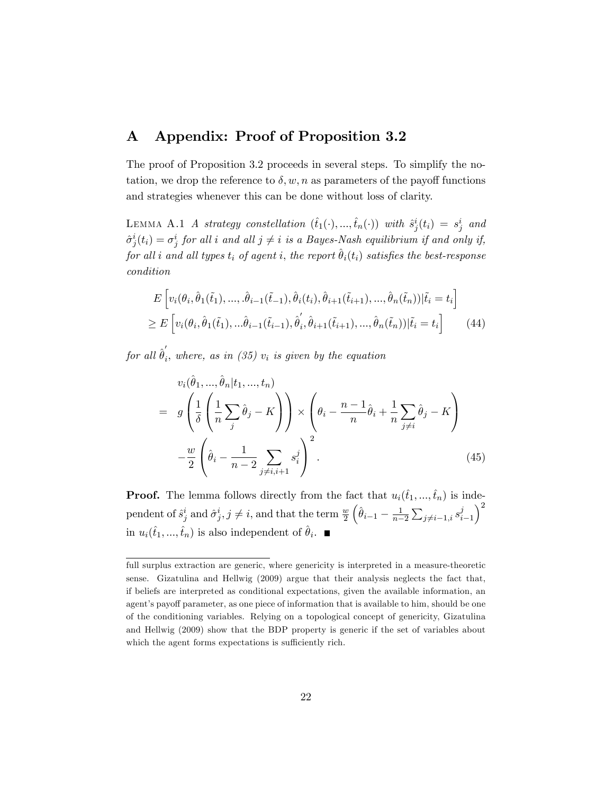# A Appendix: Proof of Proposition 3.2

The proof of Proposition 3.2 proceeds in several steps. To simplify the notation, we drop the reference to  $\delta, w, n$  as parameters of the payoff functions and strategies whenever this can be done without loss of clarity.

LEMMA A.1 *A* strategy constellation  $(\hat{t}_1(\cdot), ..., \hat{t}_n(\cdot))$  with  $\hat{s}_j^i(t_i) = s_j^i$  and  $\hat{\sigma}^i_j(t_i) = \sigma^i_j$  for all i and all  $j \neq i$  is a Bayes-Nash equilibrium if and only if, for all i and all types  $t_i$  of agent i, the report  $\hat{\theta}_i(t_i)$  satisfies the best-response condition

$$
E\left[v_i(\theta_i, \hat{\theta}_1(\tilde{t}_1), ..., \hat{\theta}_{i-1}(\tilde{t}_{-1}), \hat{\theta}_i(t_i), \hat{\theta}_{i+1}(\tilde{t}_{i+1}), ..., \hat{\theta}_n(\tilde{t}_n)) | \tilde{t}_i = t_i\right]
$$
  
\n
$$
\geq E\left[v_i(\theta_i, \hat{\theta}_1(\tilde{t}_1), ... \hat{\theta}_{i-1}(\tilde{t}_{i-1}), \hat{\theta}_i', \hat{\theta}_{i+1}(\tilde{t}_{i+1}), ..., \hat{\theta}_n(\tilde{t}_n)) | \tilde{t}_i = t_i\right]
$$
(44)

for all  $\hat{\theta }_{i}^{'}$  $_i$ , where, as in (35)  $v_i$  is given by the equation

$$
v_i(\hat{\theta}_1, ..., \hat{\theta}_n | t_1, ..., t_n)
$$
  
=  $g\left(\frac{1}{\delta}\left(\frac{1}{n}\sum_j \hat{\theta}_j - K\right)\right) \times \left(\theta_i - \frac{n-1}{n}\hat{\theta}_i + \frac{1}{n}\sum_{j\neq i} \hat{\theta}_j - K\right)$   

$$
-\frac{w}{2}\left(\hat{\theta}_i - \frac{1}{n-2}\sum_{j\neq i, i+1} s_i^j\right)^2.
$$
 (45)

**Proof.** The lemma follows directly from the fact that  $u_i(\hat{t}_1, ..., \hat{t}_n)$  is independent of  $\hat{s}^i_j$  and  $\hat{\sigma}^i_j, j \neq i$ , and that the term  $\frac{w}{2}$  $\Big(\widehat{\boldsymbol{\theta}}_{i-1} - \frac{1}{n-1}$  $\frac{1}{n-2}\sum_{j\neq i-1,i} s_i^j$  $i-1$  $\setminus^2$ in  $u_i(\hat{t}_1, ..., \hat{t}_n)$  is also independent of  $\hat{\theta}_i$ .

full surplus extraction are generic, where genericity is interpreted in a measure-theoretic sense. Gizatulina and Hellwig (2009) argue that their analysis neglects the fact that, if beliefs are interpreted as conditional expectations, given the available information, an agent's payoff parameter, as one piece of information that is available to him, should be one of the conditioning variables. Relying on a topological concept of genericity, Gizatulina and Hellwig (2009) show that the BDP property is generic if the set of variables about which the agent forms expectations is sufficiently rich.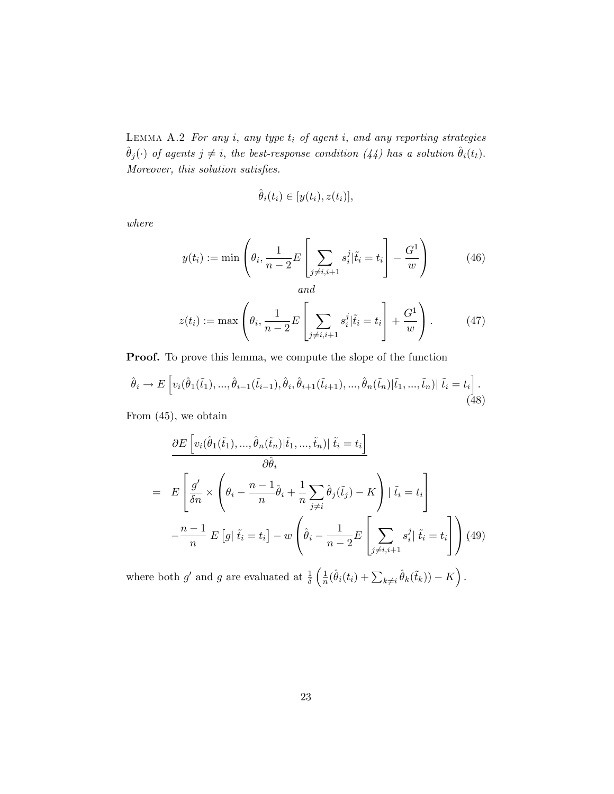LEMMA A.2 For any  $i$ , any type  $t_i$  of agent  $i$ , and any reporting strategies  $\hat{\theta}_j(\cdot)$  of agents  $j \neq i$ , the best-response condition (44) has a solution  $\hat{\theta}_i(t_t)$ . Moreover, this solution satisfies.

$$
\hat{\theta}_i(t_i) \in [y(t_i), z(t_i)],
$$

where

$$
y(t_i) := \min\left(\theta_i, \frac{1}{n-2}E\left[\sum_{j \neq i, i+1} s_i^j | \tilde{t}_i = t_i\right] - \frac{G^1}{w}\right)
$$
(46)

$$
z(t_i) := \max\left(\theta_i, \frac{1}{n-2}E\left[\sum_{j \neq i, i+1} s_i^j | \tilde{t}_i = t_i\right] + \frac{G^1}{w}\right). \tag{47}
$$

Proof. To prove this lemma, we compute the slope of the function

$$
\hat{\theta}_{i} \to E\left[v_{i}(\hat{\theta}_{1}(\tilde{t}_{1}),..., \hat{\theta}_{i-1}(\tilde{t}_{i-1}),\hat{\theta}_{i},\hat{\theta}_{i+1}(\tilde{t}_{i+1}),...,\hat{\theta}_{n}(\tilde{t}_{n})|\tilde{t}_{1},...,\tilde{t}_{n})|\ \tilde{t}_{i}=t_{i}\right].
$$
\n(48)

From (45), we obtain

$$
\frac{\partial E\left[v_i(\hat{\theta}_1(\tilde{t}_1),..., \hat{\theta}_n(\tilde{t}_n)|\tilde{t}_1,...,\tilde{t}_n)|\tilde{t}_i = t_i\right]}{\partial \hat{\theta}_i}
$$
\n
$$
= E\left[\frac{g'}{\delta n} \times \left(\theta_i - \frac{n-1}{n}\hat{\theta}_i + \frac{1}{n}\sum_{j \neq i} \hat{\theta}_j(\tilde{t}_j) - K\right) | \tilde{t}_i = t_i\right]
$$
\n
$$
-\frac{n-1}{n} E\left[g|\tilde{t}_i = t_i\right] - w\left(\hat{\theta}_i - \frac{1}{n-2}E\left[\sum_{j \neq i, i+1} s_i^j|\tilde{t}_i = t_i\right]\right) (49)
$$

where both  $g'$  and  $g$  are evaluated at  $\frac{1}{\delta}$  $\sqrt{1}$  $\frac{1}{n}(\hat{\theta}_i(t_i) + \sum_{k \neq i} \hat{\theta}_k(\tilde{t}_k)) - K$ .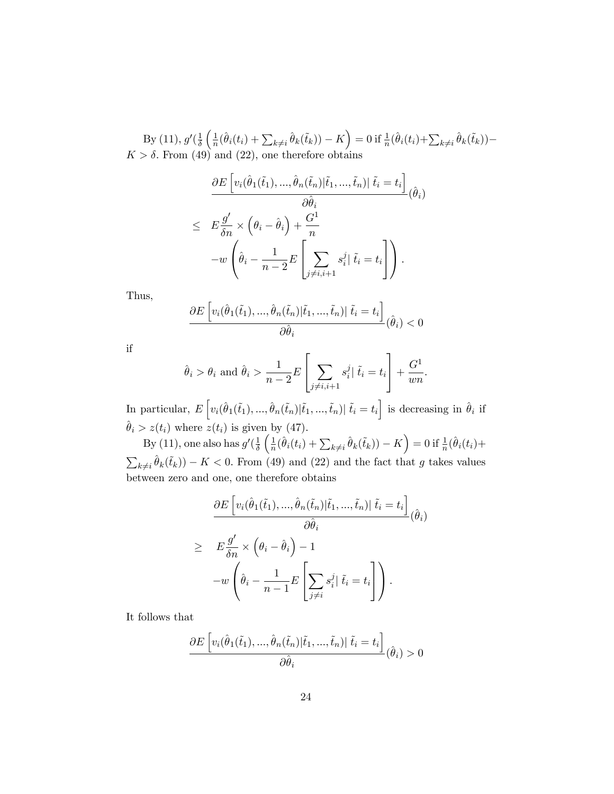By (11),  $g'(\frac{1}{\delta})$ δ  $\sqrt{1}$  $\frac{1}{n}(\hat{\theta}_i(t_i) + \sum_{k \neq i} \hat{\theta}_k(\tilde{t}_k)) - K\Big) = 0$  if  $\frac{1}{n}(\hat{\theta}_i(t_i) + \sum_{k \neq i} \hat{\theta}_k(\tilde{t}_k)) K > \delta$ . From (49) and (22), one therefore obtains

$$
\frac{\partial E\left[v_i(\hat{\theta}_1(\tilde{t}_1),..., \hat{\theta}_n(\tilde{t}_n)|\tilde{t}_1,...,\tilde{t}_n)| \tilde{t}_i = t_i\right]}{\partial \hat{\theta}_i}(\hat{\theta}_i)
$$
\n
$$
\leq E \frac{g'}{\delta n} \times \left(\theta_i - \hat{\theta}_i\right) + \frac{G^1}{n}
$$
\n
$$
-w\left(\hat{\theta}_i - \frac{1}{n-2}E\left[\sum_{j \neq i, i+1} s_i^j | \tilde{t}_i = t_i\right]\right).
$$

Thus,

$$
\frac{\partial E\left[v_i(\hat{\theta}_1(\tilde{t}_1),..., \hat{\theta}_n(\tilde{t}_n)|\tilde{t}_1,...,\tilde{t}_n)|\ \tilde{t}_i=t_i\right]}{\partial \hat{\theta}_i}(\hat{\theta}_i)<0
$$

if

$$
\hat{\theta}_i > \theta_i
$$
 and  $\hat{\theta}_i > \frac{1}{n-2} E\left[\sum_{j \neq i, i+1} s_i^j | \tilde{t}_i = t_i\right] + \frac{G^1}{wn}.$ 

In particular,  $E\left[v_i(\hat{\theta}_1(\tilde{t}_1),..., \hat{\theta}_n(\tilde{t}_n)|\tilde{t}_1,...,\tilde{t}_n)| \right]$  is decreasing in  $\hat{\theta}_i$  if  $\hat{\theta}_i > z(t_i)$  where  $z(t_i)$  is given by (47).

By (11), one also has  $g'(\frac{1}{\delta})$  $\delta$  $\sqrt{1}$  $\frac{1}{n}(\hat{\theta}_i(t_i) + \sum_{k \neq i} \hat{\theta}_k(\tilde{t}_k)) - K$  = 0 if  $\frac{1}{n}(\hat{\theta}_i(t_i) +$  $\sum_{k\neq i} \hat{\theta}_k(\tilde{t}_k)) - K < 0.$  From (49) and (22) and the fact that g takes values between zero and one, one therefore obtains

$$
\frac{\partial E\left[v_i(\hat{\theta}_1(\tilde{t}_1),..., \hat{\theta}_n(\tilde{t}_n)|\tilde{t}_1,...,\tilde{t}_n)| \tilde{t}_i = t_i\right]}{\partial \hat{\theta}_i}(\hat{\theta}_i)
$$
\n
$$
\geq E \frac{g'}{\delta n} \times \left(\theta_i - \hat{\theta}_i\right) - 1
$$
\n
$$
-w\left(\hat{\theta}_i - \frac{1}{n-1}E\left[\sum_{j \neq i} s_i^j | \tilde{t}_i = t_i\right]\right).
$$

It follows that

$$
\frac{\partial E\left[v_i(\hat{\theta}_1(\tilde{t}_1),..., \hat{\theta}_n(\tilde{t}_n)|\tilde{t}_1,...,\tilde{t}_n)| \tilde{t}_i = t_i\right]}{\partial \hat{\theta}_i}(\hat{\theta}_i) > 0
$$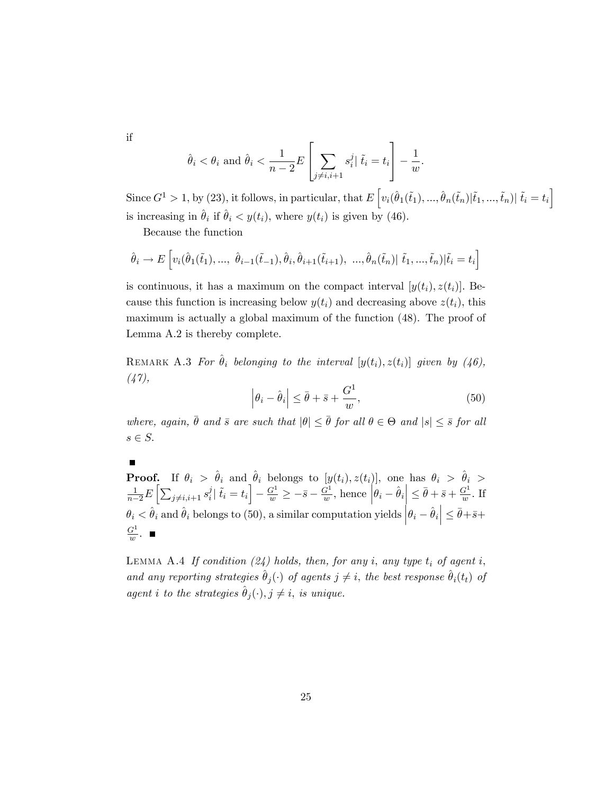if

$$
\hat{\theta}_i < \theta_i
$$
 and  $\hat{\theta}_i < \frac{1}{n-2}E\left[\sum_{j\neq i, i+1} s_i^j | \tilde{t}_i = t_i\right] - \frac{1}{w}.$ 

Since  $G^1 > 1$ , by (23), it follows, in particular, that  $E\left[v_i(\hat{\theta}_1(\tilde{t}_1),..., \hat{\theta}_n(\tilde{t}_n)|\tilde{t}_1,...,\tilde{t}_n)| \right] \tilde{t}_i = t_i$ is increasing in  $\hat{\theta}_i$  if  $\hat{\theta}_i < y(t_i)$ , where  $y(t_i)$  is given by (46).

Because the function

$$
\hat{\theta}_{i} \to E\left[v_{i}(\hat{\theta}_{1}(\tilde{t}_{1}),...,\ \hat{\theta}_{i-1}(\tilde{t}_{-1}),\hat{\theta}_{i},\hat{\theta}_{i+1}(\tilde{t}_{i+1}),\ ...,\hat{\theta}_{n}(\tilde{t}_{n})|\ \tilde{t}_{1},...,\tilde{t}_{n})|\tilde{t}_{i}=t_{i}\right]
$$

is continuous, it has a maximum on the compact interval  $[y(t_i), z(t_i)]$ . Because this function is increasing below  $y(t_i)$  and decreasing above  $z(t_i)$ , this maximum is actually a global maximum of the function (48). The proof of Lemma A.2 is thereby complete.

REMARK A.3 For  $\hat{\theta}_i$  belonging to the interval  $[y(t_i), z(t_i)]$  given by (46), (47),

$$
\left|\theta_i - \hat{\theta}_i\right| \le \bar{\theta} + \bar{s} + \frac{G^1}{w},\tag{50}
$$

where, again,  $\bar{\theta}$  and  $\bar{s}$  are such that  $|\theta| \leq \bar{\theta}$  for all  $\theta \in \Theta$  and  $|s| \leq \bar{s}$  for all  $s\in S.$ 

**Proof.** If  $\theta_i > \hat{\theta}_i$  and  $\hat{\theta}_i$  belongs to  $[y(t_i), z(t_i)]$ , one has  $\theta_i > \hat{\theta}_i >$  $\frac{1}{n-2}E\left[\sum_{j\neq i,i+1} s_i^j\right]$  $\left\vert \begin{smallmatrix} j \\ i \end{smallmatrix} \right\vert \tilde{t}_i = t_i \bigg\vert$  $-\frac{G^1}{w} \geq -\bar{s} - \frac{G^1}{w}$  $\left|\frac{G^1}{w}, \text{ hence } \left|\theta_i - \hat{\theta}_i\right| \leq \bar{\theta} + \bar{s} + \frac{G^1}{w}$  $\frac{x}{w}$ . If  $\hat{\theta}_i < \hat{\theta}_i$  and  $\hat{\theta}_i$  belongs to (50), a similar computation yields  $|\theta_i - \hat{\theta}_i| \leq \bar{\theta} + \bar{s} +$  $G^1$  $\frac{x^2}{w}$ .

LEMMA A.4 If condition  $(24)$  holds, then, for any i, any type  $t_i$  of agent i, and any reporting strategies  $\hat{\theta}_i(\cdot)$  of agents  $j \neq i$ , the best response  $\hat{\theta}_i(t_t)$  of agent i to the strategies  $\hat{\theta}_j(\cdot), j \neq i$ , is unique.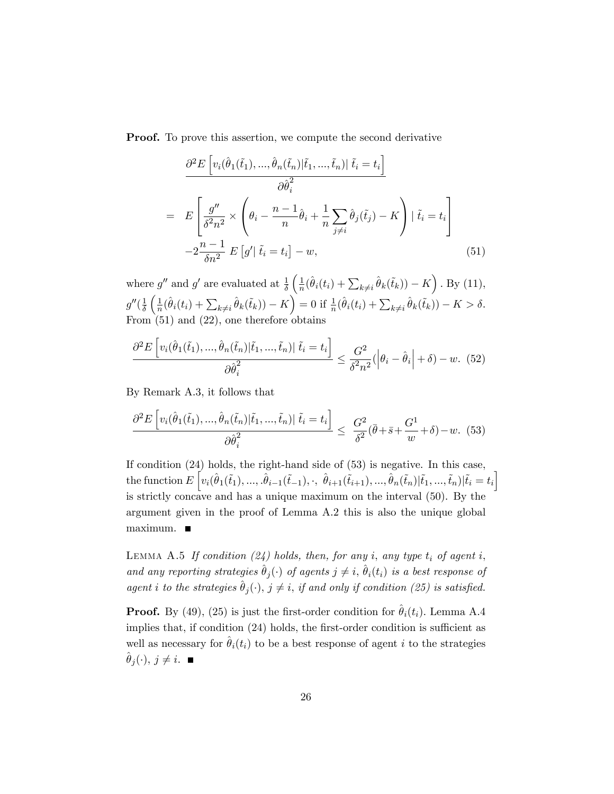Proof. To prove this assertion, we compute the second derivative

$$
\frac{\partial^2 E\left[v_i(\hat{\theta}_1(\tilde{t}_1),..., \hat{\theta}_n(\tilde{t}_n)|\tilde{t}_1,...,\tilde{t}_n)| \tilde{t}_i = t_i\right]}{\partial \hat{\theta}_i^2}
$$
\n
$$
= E\left[\frac{g''}{\delta^2 n^2} \times \left(\theta_i - \frac{n-1}{n}\hat{\theta}_i + \frac{1}{n}\sum_{j \neq i} \hat{\theta}_j(\tilde{t}_j) - K\right) | \tilde{t}_i = t_i\right]
$$
\n
$$
-2\frac{n-1}{\delta n^2} E\left[g' | \tilde{t}_i = t_i\right] - w,\tag{51}
$$

where  $g''$  and  $g'$  are evaluated at  $\frac{1}{\delta}$  $\sqrt{1}$  $\frac{1}{n}(\hat{\theta}_i(t_i) + \sum_{k \neq i} \hat{\theta}_k(\tilde{t}_k)) - K$ . By (11),  $g''(\frac{1}{\delta})$  $\delta$  $\sqrt{1}$  $\frac{1}{n}(\hat{\theta}_i(t_i) + \sum_{k \neq i} \hat{\theta}_k(\tilde{t}_k)) - K\right) = 0$  if  $\frac{1}{n}(\hat{\theta}_i(t_i) + \sum_{k \neq i} \hat{\theta}_k(\tilde{t}_k)) - K > \delta$ . From  $(51)$  and  $(22)$ , one therefore obtains

$$
\frac{\partial^2 E\left[v_i(\hat{\theta}_1(\tilde{t}_1),..., \hat{\theta}_n(\tilde{t}_n)|\tilde{t}_1,...,\tilde{t}_n)|\tilde{t}_i = t_i\right]}{\partial \hat{\theta}_i^2} \leq \frac{G^2}{\delta^2 n^2} (\left|\theta_i - \hat{\theta}_i\right| + \delta) - w. \tag{52}
$$

By Remark A.3, it follows that

$$
\frac{\partial^2 E\left[v_i(\hat{\theta}_1(\tilde{t}_1),..., \hat{\theta}_n(\tilde{t}_n)|\tilde{t}_1,...,\tilde{t}_n)|\tilde{t}_i = t_i\right]}{\partial \hat{\theta}_i^2} \leq \frac{G^2}{\delta^2}(\bar{\theta} + \bar{s} + \frac{G^1}{w} + \delta) - w. \tag{53}
$$

If condition (24) holds, the right-hand side of (53) is negative. In this case,  $\text{the function} \, \tilde{E}\left[v_i(\hat{\theta}_1(\tilde{t}_1),..., \tilde{\theta}_{i-1}(\tilde{t}_{-1}), ., \ \hat{\theta}_{i+1}(\tilde{t}_{i+1}),..., \tilde{\theta}_n(\tilde{t}_n)|\tilde{t}_1,...,\tilde{t}_n)|\tilde{t}_i=t_i\right]$ is strictly concave and has a unique maximum on the interval (50). By the argument given in the proof of Lemma A.2 this is also the unique global maximum.

LEMMA A.5 If condition (24) holds, then, for any i, any type  $t_i$  of agent i, and any reporting strategies  $\hat{\theta}_i(\cdot)$  of agents  $j \neq i$ ,  $\hat{\theta}_i(t_i)$  is a best response of agent i to the strategies  $\hat{\theta}_j(\cdot), j \neq i$ , if and only if condition (25) is satisfied.

**Proof.** By (49), (25) is just the first-order condition for  $\hat{\theta}_i(t_i)$ . Lemma A.4 implies that, if condition  $(24)$  holds, the first-order condition is sufficient as well as necessary for  $\hat{\theta}_i(t_i)$  to be a best response of agent i to the strategies  $\theta_j(\cdot), j \neq i$ .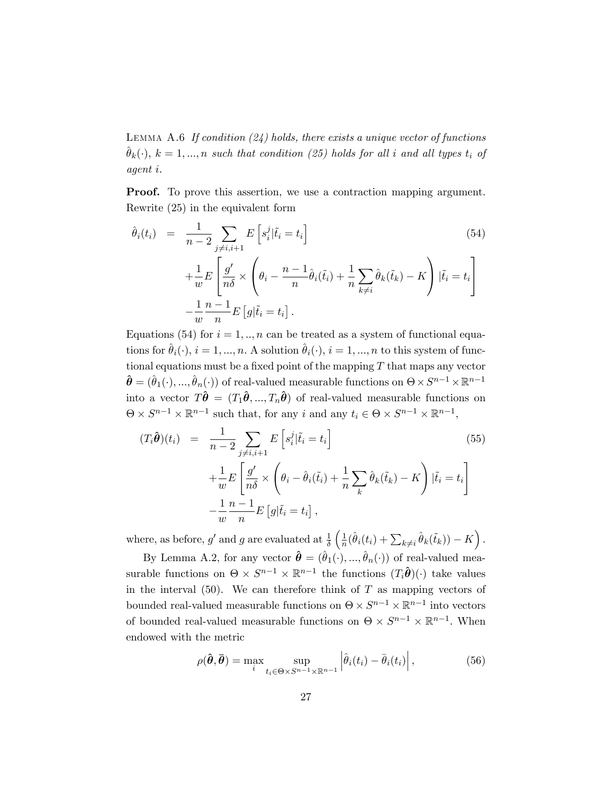LEMMA A.6 If condition  $(24)$  holds, there exists a unique vector of functions  $\hat{\theta}_k(\cdot), k = 1, ..., n$  such that condition (25) holds for all i and all types t<sub>i</sub> of agent i:

Proof. To prove this assertion, we use a contraction mapping argument. Rewrite (25) in the equivalent form

$$
\hat{\theta}_{i}(t_{i}) = \frac{1}{n-2} \sum_{j \neq i, i+1} E\left[s_{i}^{j} | \tilde{t}_{i} = t_{i}\right]
$$
\n
$$
+ \frac{1}{w} E\left[\frac{g'}{n\delta} \times \left(\theta_{i} - \frac{n-1}{n} \hat{\theta}_{i}(\tilde{t}_{i}) + \frac{1}{n} \sum_{k \neq i} \hat{\theta}_{k}(\tilde{t}_{k}) - K\right) | \tilde{t}_{i} = t_{i} \right]
$$
\n
$$
- \frac{1}{w} \frac{n-1}{n} E\left[g | \tilde{t}_{i} = t_{i}\right].
$$
\n(54)

Equations (54) for  $i = 1, \ldots, n$  can be treated as a system of functional equations for  $\hat{\theta}_i(\cdot), i = 1, ..., n$ . A solution  $\hat{\theta}_i(\cdot), i = 1, ..., n$  to this system of functional equations must be a fixed point of the mapping  $T$  that maps any vector  $\hat{\boldsymbol{\theta}} = (\hat{\theta}_1(\cdot), ..., \hat{\theta}_n(\cdot))$  of real-valued measurable functions on  $\Theta \times S^{n-1} \times \mathbb{R}^{n-1}$ into a vector  $T\hat{\boldsymbol{\theta}} = (T_1\hat{\boldsymbol{\theta}},..., T_n\hat{\boldsymbol{\theta}})$  of real-valued measurable functions on  $\Theta \times S^{n-1} \times \mathbb{R}^{n-1}$  such that, for any i and any  $t_i \in \Theta \times S^{n-1} \times \mathbb{R}^{n-1}$ ,

$$
(T_i\hat{\boldsymbol{\theta}})(t_i) = \frac{1}{n-2} \sum_{j \neq i, i+1} E\left[s_i^j | \tilde{t}_i = t_i\right]
$$
  
 
$$
+ \frac{1}{w} E\left[\frac{g'}{n\delta} \times \left(\theta_i - \hat{\theta}_i(\tilde{t}_i) + \frac{1}{n} \sum_k \hat{\theta}_k(\tilde{t}_k) - K\right) | \tilde{t}_i = t_i\right]
$$
  
 
$$
- \frac{1}{w} \frac{n-1}{n} E\left[g | \tilde{t}_i = t_i\right],
$$
 (55)

where, as before,  $g'$  and  $g$  are evaluated at  $\frac{1}{\delta}$  $\sqrt{1}$  $\frac{1}{n}(\hat{\theta}_i(t_i) + \sum_{k \neq i} \hat{\theta}_k(\tilde{t}_k)) - K$ .

By Lemma A.2, for any vector  $\hat{\boldsymbol{\theta}} = (\hat{\theta}_1(\cdot), ..., \hat{\theta}_n(\cdot))$  of real-valued measurable functions on  $\Theta \times S^{n-1} \times \mathbb{R}^{n-1}$  the functions  $(T_i \hat{\theta})(\cdot)$  take values in the interval  $(50)$ . We can therefore think of T as mapping vectors of bounded real-valued measurable functions on  $\Theta \times S^{n-1} \times \mathbb{R}^{n-1}$  into vectors of bounded real-valued measurable functions on  $\Theta \times S^{n-1} \times \mathbb{R}^{n-1}$ . When endowed with the metric

$$
\rho(\hat{\boldsymbol{\theta}}, \bar{\boldsymbol{\theta}}) = \max_{i} \sup_{t_i \in \Theta \times S^{n-1} \times \mathbb{R}^{n-1}} \left| \hat{\theta}_i(t_i) - \bar{\theta}_i(t_i) \right|, \tag{56}
$$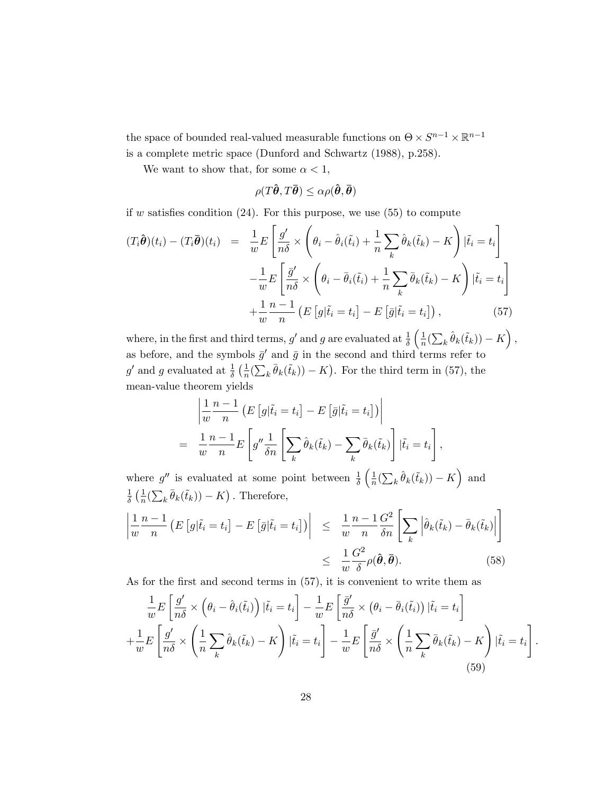the space of bounded real-valued measurable functions on  $\Theta \times S^{n-1} \times \mathbb{R}^{n-1}$ is a complete metric space (Dunford and Schwartz (1988), p.258).

We want to show that, for some  $\alpha < 1$ ,

$$
\rho(T\hat{\boldsymbol{\theta}},T\bar{\boldsymbol{\theta}}) \leq \alpha \rho(\hat{\boldsymbol{\theta}},\bar{\boldsymbol{\theta}})
$$

if w satisfies condition  $(24)$ . For this purpose, we use  $(55)$  to compute

$$
(T_i \hat{\boldsymbol{\theta}})(t_i) - (T_i \bar{\boldsymbol{\theta}})(t_i) = \frac{1}{w} E \left[ \frac{g'}{n\delta} \times \left( \theta_i - \hat{\theta}_i(\tilde{t}_i) + \frac{1}{n} \sum_k \hat{\theta}_k(\tilde{t}_k) - K \right) | \tilde{t}_i = t_i \right]
$$

$$
- \frac{1}{w} E \left[ \frac{\bar{g}'}{n\delta} \times \left( \theta_i - \bar{\theta}_i(\tilde{t}_i) + \frac{1}{n} \sum_k \bar{\theta}_k(\tilde{t}_k) - K \right) | \tilde{t}_i = t_i \right]
$$

$$
+ \frac{1}{w} \frac{n-1}{n} \left( E \left[ g | \tilde{t}_i = t_i \right] - E \left[ \bar{g} | \tilde{t}_i = t_i \right] \right), \tag{57}
$$

where, in the first and third terms,  $g'$  and  $g$  are evaluated at  $\frac{1}{\delta}$  $\sqrt{1}$  $\frac{1}{n}(\sum_{k} \hat{\theta}_{k}(\tilde{t}_{k})) - K\right),$ as before, and the symbols  $\bar{g}'$  and  $\bar{g}$  in the second and third terms refer to  $g'$  and  $g$  evaluated at  $\frac{1}{\delta} \left( \frac{1}{n} \right)$  $\frac{1}{n}(\sum_{k} \bar{\theta}_{k}(\tilde{t}_{k})) - K$ . For the third term in (57), the mean-value theorem yields

$$
\left| \frac{1}{w} \frac{n-1}{n} \left( E \left[ g | \tilde{t}_i = t_i \right] - E \left[ \bar{g} | \tilde{t}_i = t_i \right] \right) \right|
$$
  
= 
$$
\frac{1}{w} \frac{n-1}{n} E \left[ g'' \frac{1}{\delta n} \left[ \sum_k \hat{\theta}_k (\tilde{t}_k) - \sum_k \bar{\theta}_k (\tilde{t}_k) \right] | \tilde{t}_i = t_i \right]
$$

;

where  $g''$  is evaluated at some point between  $\frac{1}{\delta}$  $\sqrt{1}$  $\frac{1}{n} \left( \sum_{k} \hat{\theta}_{k}(\tilde{t}_{k}) \right) - K$  and 1  $\frac{1}{\delta}$   $\left(\frac{1}{n}\right)$  $\frac{1}{n}(\sum_{k} \bar{\theta}_{k}(\tilde{t}_{k})) - K$ . Therefore,

$$
\left| \frac{1}{w} \frac{n-1}{n} \left( E \left[ g | \tilde{t}_i = t_i \right] - E \left[ \bar{g} | \tilde{t}_i = t_i \right] \right) \right| \leq \frac{1}{w} \frac{n-1}{n} \frac{G^2}{\delta n} \left[ \sum_k \left| \hat{\theta}_k(\tilde{t}_k) - \bar{\theta}_k(\tilde{t}_k) \right| \right]
$$
  

$$
\leq \frac{1}{w} \frac{G^2}{\delta} \rho(\hat{\boldsymbol{\theta}}, \bar{\boldsymbol{\theta}}). \tag{58}
$$

As for the first and second terms in  $(57)$ , it is convenient to write them as

$$
\frac{1}{w}E\left[\frac{g'}{n\delta} \times \left(\theta_i - \hat{\theta}_i(\tilde{t}_i)\right) | \tilde{t}_i = t_i\right] - \frac{1}{w}E\left[\frac{\bar{g}'}{n\delta} \times \left(\theta_i - \bar{\theta}_i(\tilde{t}_i)\right) | \tilde{t}_i = t_i\right] \n+ \frac{1}{w}E\left[\frac{g'}{n\delta} \times \left(\frac{1}{n}\sum_k \hat{\theta}_k(\tilde{t}_k) - K\right) | \tilde{t}_i = t_i\right] - \frac{1}{w}E\left[\frac{\bar{g}'}{n\delta} \times \left(\frac{1}{n}\sum_k \bar{\theta}_k(\tilde{t}_k) - K\right) | \tilde{t}_i = t_i\right].
$$
\n(59)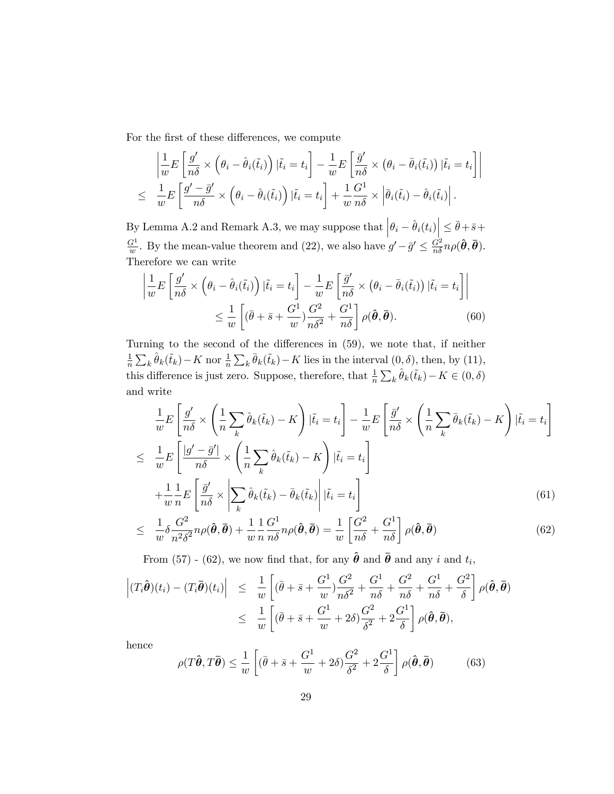For the first of these differences, we compute

$$
\left| \frac{1}{w} E\left[ \frac{g'}{n\delta} \times \left( \theta_i - \hat{\theta}_i(\tilde{t}_i) \right) | \tilde{t}_i = t_i \right] - \frac{1}{w} E\left[ \frac{\bar{g}'}{n\delta} \times \left( \theta_i - \bar{\theta}_i(\tilde{t}_i) \right) | \tilde{t}_i = t_i \right] \right|
$$
  

$$
\leq \frac{1}{w} E\left[ \frac{g' - \bar{g}'}{n\delta} \times \left( \theta_i - \hat{\theta}_i(\tilde{t}_i) \right) | \tilde{t}_i = t_i \right] + \frac{1}{w} \frac{G^1}{n\delta} \times \left| \bar{\theta}_i(\tilde{t}_i) - \hat{\theta}_i(\tilde{t}_i) \right|.
$$

By Lemma A.2 and Remark A.3, we may suppose that  $|\theta_i - \hat{\theta}_i(t_i)| \leq \bar{\theta} + \bar{s} + \frac{G^1}{2}$ . By the mean-value theorem and (22), we also have  $g' - \bar{g}' < \frac{G^2}{2} n \phi(\hat{\theta}, \bar{\theta})$ .  $\frac{G^1}{w}$ . By the mean-value theorem and (22), we also have  $g' - \bar{g}' \leq \frac{G^2}{n\delta}n\rho(\hat{\theta}, \bar{\theta})$ . Therefore we can write

$$
\left| \frac{1}{w} E\left[ \frac{g'}{n\delta} \times \left( \theta_i - \hat{\theta}_i(\tilde{t}_i) \right) | \tilde{t}_i = t_i \right] - \frac{1}{w} E\left[ \frac{\bar{g}'}{n\delta} \times \left( \theta_i - \bar{\theta}_i(\tilde{t}_i) \right) | \tilde{t}_i = t_i \right] \right|
$$
  

$$
\leq \frac{1}{w} \left[ (\bar{\theta} + \bar{s} + \frac{G^1}{w}) \frac{G^2}{n\delta^2} + \frac{G^1}{n\delta} \right] \rho(\hat{\theta}, \bar{\theta}). \tag{60}
$$

Turning to the second of the differences in  $(59)$ , we note that, if neither 1  $\frac{1}{n}\sum_{k}\hat{\theta}_{k}(\tilde{t}_{k})-K$  nor  $\frac{1}{n}\sum_{k}\bar{\theta}_{k}(\tilde{t}_{k})-K$  lies in the interval  $(0,\delta)$ , then, by (11), this difference is just zero. Suppose, therefore, that  $\frac{1}{n} \sum_{k} \hat{\theta}_{k}(\tilde{t}_{k}) - K \in (0, \delta)$ and write

$$
\frac{1}{w}E\left[\frac{g'}{n\delta} \times \left(\frac{1}{n}\sum_{k} \hat{\theta}_{k}(\tilde{t}_{k}) - K\right)|\tilde{t}_{i} = t_{i}\right] - \frac{1}{w}E\left[\frac{\bar{g}'}{n\delta} \times \left(\frac{1}{n}\sum_{k} \bar{\theta}_{k}(\tilde{t}_{k}) - K\right)|\tilde{t}_{i} = t_{i}\right]
$$
\n
$$
\leq \frac{1}{w}E\left[\frac{|g' - \bar{g}'|}{n\delta} \times \left(\frac{1}{n}\sum_{k} \hat{\theta}_{k}(\tilde{t}_{k}) - K\right)|\tilde{t}_{i} = t_{i}\right]
$$
\n
$$
+ \frac{1}{w}\frac{1}{n}E\left[\frac{\bar{g}'}{n\delta} \times \left|\sum_{k} \hat{\theta}_{k}(\tilde{t}_{k}) - \bar{\theta}_{k}(\tilde{t}_{k})\right||\tilde{t}_{i} = t_{i}\right]
$$
\n
$$
+ \frac{1}{w}\frac{1}{n}E\left[\frac{\bar{g}'}{n\delta} \times \left|\sum_{k} \hat{\theta}_{k}(\tilde{t}_{k}) - \bar{\theta}_{k}(\tilde{t}_{k})\right||\tilde{t}_{i} = t_{i}\right]
$$
\n(61)

$$
\leq \frac{1}{w} \delta \frac{G^2}{n^2 \delta^2} n \rho(\hat{\boldsymbol{\theta}}, \bar{\boldsymbol{\theta}}) + \frac{1}{w} \frac{1}{n} \frac{G^1}{n \delta} n \rho(\hat{\boldsymbol{\theta}}, \bar{\boldsymbol{\theta}}) = \frac{1}{w} \left[ \frac{G^2}{n \delta} + \frac{G^1}{n \delta} \right] \rho(\hat{\boldsymbol{\theta}}, \bar{\boldsymbol{\theta}}) \tag{62}
$$

From (57) - (62), we now find that, for any  $\hat{\boldsymbol{\theta}}$  and  $\bar{\boldsymbol{\theta}}$  and any i and  $t_i$ ,

$$
\left| (T_i \hat{\boldsymbol{\theta}})(t_i) - (T_i \bar{\boldsymbol{\theta}})(t_i) \right| \leq \frac{1}{w} \left[ (\bar{\theta} + \bar{s} + \frac{G^1}{w}) \frac{G^2}{n\delta^2} + \frac{G^1}{n\delta} + \frac{G^2}{n\delta} + \frac{G^1}{n\delta} + \frac{G^2}{\delta} \right] \rho(\hat{\boldsymbol{\theta}}, \bar{\boldsymbol{\theta}})
$$
  

$$
\leq \frac{1}{w} \left[ (\bar{\theta} + \bar{s} + \frac{G^1}{w} + 2\delta) \frac{G^2}{\delta^2} + 2\frac{G^1}{\delta} \right] \rho(\hat{\boldsymbol{\theta}}, \bar{\boldsymbol{\theta}}),
$$

hence

$$
\rho(T\hat{\boldsymbol{\theta}}, T\bar{\boldsymbol{\theta}}) \le \frac{1}{w} \left[ (\bar{\theta} + \bar{s} + \frac{G^1}{w} + 2\delta) \frac{G^2}{\delta^2} + 2\frac{G^1}{\delta} \right] \rho(\hat{\boldsymbol{\theta}}, \bar{\boldsymbol{\theta}}) \tag{63}
$$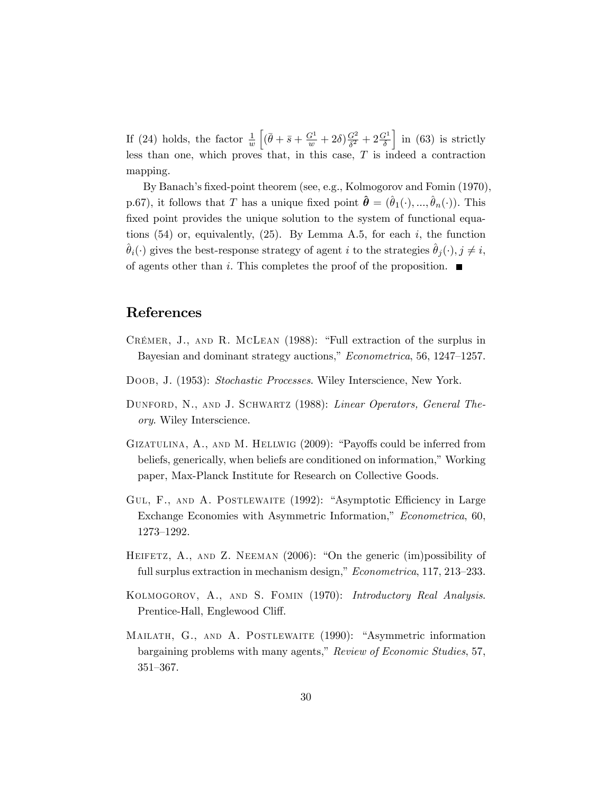If (24) holds, the factor  $\frac{1}{w}$  $\left[ (\bar{\theta} + \bar{s} + \frac{G^1}{w} + 2\delta) \frac{G^2}{\delta^2} \right]$  $\frac{G^2}{\delta^2}+2\frac{G^1}{\delta}$  $\left[ \text{in (63) is strictly} \right]$ less than one, which proves that, in this case,  $T$  is indeed a contraction mapping.

By Banach's fixed-point theorem (see, e.g., Kolmogorov and Fomin (1970), p.67), it follows that T has a unique fixed point  $\hat{\boldsymbol{\theta}} = (\hat{\theta}_1(\cdot), ..., \hat{\theta}_n(\cdot))$ . This fixed point provides the unique solution to the system of functional equations  $(54)$  or, equivalently,  $(25)$ . By Lemma A.5, for each i, the function  $\theta_i(\cdot)$  gives the best-response strategy of agent i to the strategies  $\theta_i(\cdot), j \neq i$ ; of agents other than i. This completes the proof of the proposition.  $\blacksquare$ 

## References

- CRÉMER, J., AND R. MCLEAN  $(1988)$ : "Full extraction of the surplus in Bayesian and dominant strategy auctions," Econometrica, 56, 1247–1257.
- DOOB, J. (1953): Stochastic Processes. Wiley Interscience, New York.
- DUNFORD, N., AND J. SCHWARTZ (1988): Linear Operators, General Theory. Wiley Interscience.
- GIZATULINA,  $A_{.}$ , and M. HELLWIG (2009): "Payoffs could be inferred from beliefs, generically, when beliefs are conditioned on information," Working paper, Max-Planck Institute for Research on Collective Goods.
- GUL, F., AND A. POSTLEWAITE (1992): "Asymptotic Efficiency in Large Exchange Economies with Asymmetric Information," Econometrica, 60, 1273-1292.
- HEIFETZ, A., AND Z. NEEMAN  $(2006)$ : "On the generic  $(im)$  possibility of full surplus extraction in mechanism design,"  $Econometrica$ , 117, 213–233.
- Kolmogorov, A., and S. Fomin (1970): Introductory Real Analysis. Prentice-Hall, Englewood Cliff.
- MAILATH, G., AND A. POSTLEWAITE (1990): "Asymmetric information bargaining problems with many agents," Review of Economic Studies, 57,  $351 - 367.$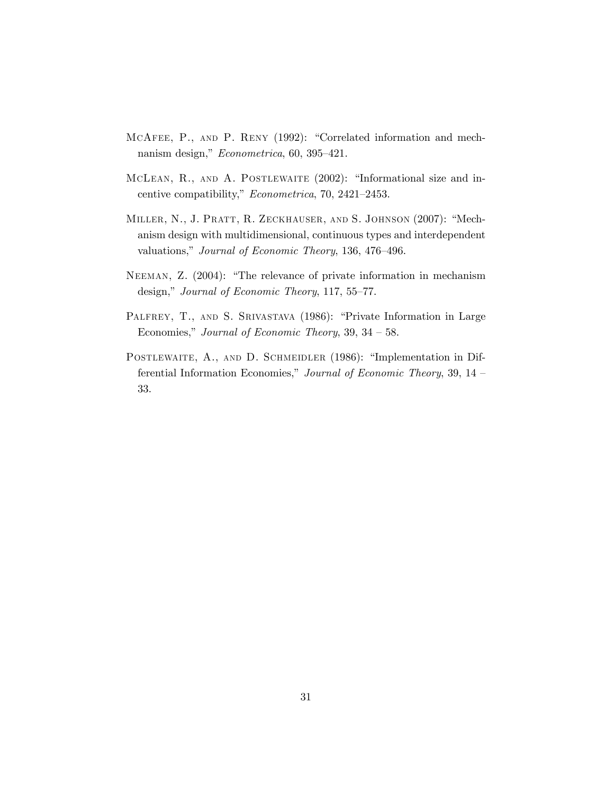- MCAFEE, P., AND P. RENY (1992): "Correlated information and mechnanism design," Econometrica, 60, 395-421.
- MCLEAN, R., AND A. POSTLEWAITE  $(2002)$ : "Informational size and incentive compatibility,"  $Econometrica$ , 70, 2421-2453.
- MILLER, N., J. PRATT, R. ZECKHAUSER, AND S. JOHNSON (2007): "Mechanism design with multidimensional, continuous types and interdependent valuations," Journal of Economic Theory, 136, 476-496.
- NEEMAN, Z. (2004): "The relevance of private information in mechanism design," Journal of Economic Theory, 117, 55-77.
- PALFREY, T., AND S. SRIVASTAVA (1986): "Private Information in Large Economies," Journal of Economic Theory,  $39, 34 - 58$ .
- POSTLEWAITE, A., AND D. SCHMEIDLER (1986): "Implementation in Differential Information Economies," Journal of Economic Theory, 39, 14  $-$ 33.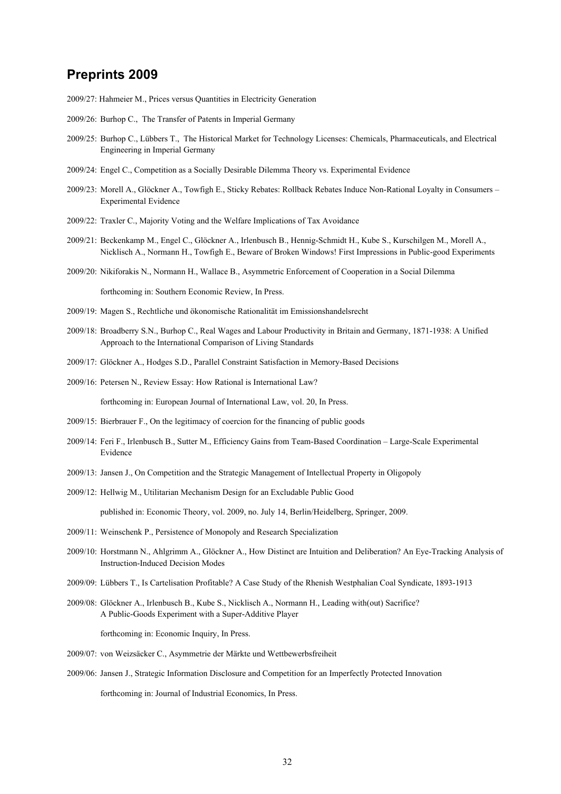# **Preprints 2009**

2009/27: Hahmeier M., Prices versus Quantities in Electricity Generation

- 2009/26: Burhop C., The Transfer of Patents in Imperial Germany
- 2009/25: Burhop C., Lübbers T., The Historical Market for Technology Licenses: Chemicals, Pharmaceuticals, and Electrical Engineering in Imperial Germany
- 2009/24: Engel C., Competition as a Socially Desirable Dilemma Theory vs. Experimental Evidence
- 2009/23: Morell A., Glöckner A., Towfigh E., Sticky Rebates: Rollback Rebates Induce Non-Rational Loyalty in Consumers Experimental Evidence
- 2009/22: Traxler C., Majority Voting and the Welfare Implications of Tax Avoidance
- 2009/21: Beckenkamp M., Engel C., Glöckner A., Irlenbusch B., Hennig-Schmidt H., Kube S., Kurschilgen M., Morell A., Nicklisch A., Normann H., Towfigh E., Beware of Broken Windows! First Impressions in Public-good Experiments
- 2009/20: Nikiforakis N., Normann H., Wallace B., Asymmetric Enforcement of Cooperation in a Social Dilemma

forthcoming in: Southern Economic Review, In Press.

- 2009/19: Magen S., Rechtliche und ökonomische Rationalität im Emissionshandelsrecht
- 2009/18: Broadberry S.N., Burhop C., Real Wages and Labour Productivity in Britain and Germany, 1871-1938: A Unified Approach to the International Comparison of Living Standards
- 2009/17: Glöckner A., Hodges S.D., Parallel Constraint Satisfaction in Memory-Based Decisions
- 2009/16: Petersen N., Review Essay: How Rational is International Law?

forthcoming in: European Journal of International Law, vol. 20, In Press.

- 2009/15: Bierbrauer F., On the legitimacy of coercion for the financing of public goods
- 2009/14: Feri F., Irlenbusch B., Sutter M., Efficiency Gains from Team-Based Coordination Large-Scale Experimental Evidence
- 2009/13: Jansen J., On Competition and the Strategic Management of Intellectual Property in Oligopoly
- 2009/12: Hellwig M., Utilitarian Mechanism Design for an Excludable Public Good

published in: Economic Theory, vol. 2009, no. July 14, Berlin/Heidelberg, Springer, 2009.

- 2009/11: Weinschenk P., Persistence of Monopoly and Research Specialization
- 2009/10: Horstmann N., Ahlgrimm A., Glöckner A., How Distinct are Intuition and Deliberation? An Eye-Tracking Analysis of Instruction-Induced Decision Modes
- 2009/09: Lübbers T., Is Cartelisation Profitable? A Case Study of the Rhenish Westphalian Coal Syndicate, 1893-1913
- 2009/08: Glöckner A., Irlenbusch B., Kube S., Nicklisch A., Normann H., Leading with(out) Sacrifice? A Public-Goods Experiment with a Super-Additive Player

forthcoming in: Economic Inquiry, In Press.

- 2009/07: von Weizsäcker C., Asymmetrie der Märkte und Wettbewerbsfreiheit
- 2009/06: Jansen J., Strategic Information Disclosure and Competition for an Imperfectly Protected Innovation forthcoming in: Journal of Industrial Economics, In Press.